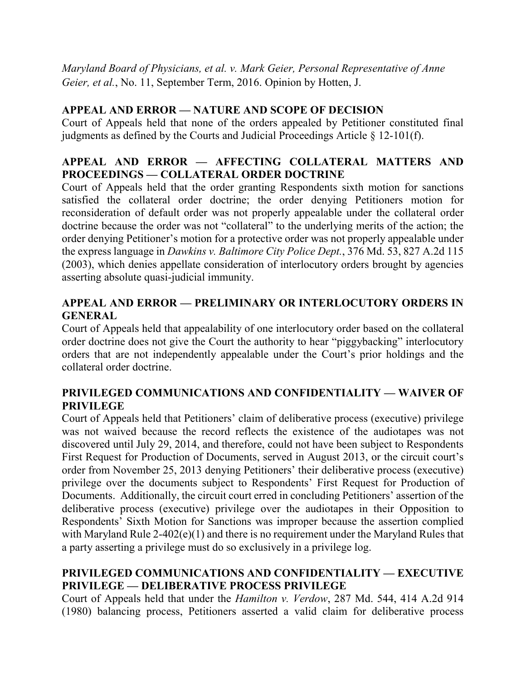*Maryland Board of Physicians, et al. v. Mark Geier, Personal Representative of Anne Geier, et al.*, No. 11, September Term, 2016. Opinion by Hotten, J.

# **APPEAL AND ERROR — NATURE AND SCOPE OF DECISION**

Court of Appeals held that none of the orders appealed by Petitioner constituted final judgments as defined by the Courts and Judicial Proceedings Article § 12-101(f).

# **APPEAL AND ERROR — AFFECTING COLLATERAL MATTERS AND PROCEEDINGS — COLLATERAL ORDER DOCTRINE**

Court of Appeals held that the order granting Respondents sixth motion for sanctions satisfied the collateral order doctrine; the order denying Petitioners motion for reconsideration of default order was not properly appealable under the collateral order doctrine because the order was not "collateral" to the underlying merits of the action; the order denying Petitioner's motion for a protective order was not properly appealable under the express language in *Dawkins v. Baltimore City Police Dept.*, 376 Md. 53, 827 A.2d 115 (2003), which denies appellate consideration of interlocutory orders brought by agencies asserting absolute quasi-judicial immunity.

# **APPEAL AND ERROR — PRELIMINARY OR INTERLOCUTORY ORDERS IN GENERAL**

Court of Appeals held that appealability of one interlocutory order based on the collateral order doctrine does not give the Court the authority to hear "piggybacking" interlocutory orders that are not independently appealable under the Court's prior holdings and the collateral order doctrine.

# **PRIVILEGED COMMUNICATIONS AND CONFIDENTIALITY — WAIVER OF PRIVILEGE**

Court of Appeals held that Petitioners' claim of deliberative process (executive) privilege was not waived because the record reflects the existence of the audiotapes was not discovered until July 29, 2014, and therefore, could not have been subject to Respondents First Request for Production of Documents, served in August 2013, or the circuit court's order from November 25, 2013 denying Petitioners' their deliberative process (executive) privilege over the documents subject to Respondents' First Request for Production of Documents. Additionally, the circuit court erred in concluding Petitioners' assertion of the deliberative process (executive) privilege over the audiotapes in their Opposition to Respondents' Sixth Motion for Sanctions was improper because the assertion complied with Maryland Rule 2-402(e)(1) and there is no requirement under the Maryland Rules that a party asserting a privilege must do so exclusively in a privilege log.

# **PRIVILEGED COMMUNICATIONS AND CONFIDENTIALITY — EXECUTIVE PRIVILEGE — DELIBERATIVE PROCESS PRIVILEGE**

Court of Appeals held that under the *Hamilton v. Verdow*, 287 Md. 544, 414 A.2d 914 (1980) balancing process, Petitioners asserted a valid claim for deliberative process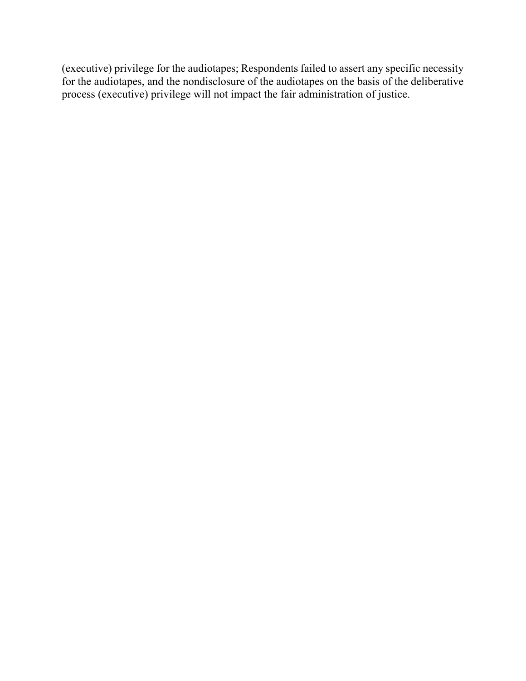(executive) privilege for the audiotapes; Respondents failed to assert any specific necessity for the audiotapes, and the nondisclosure of the audiotapes on the basis of the deliberative process (executive) privilege will not impact the fair administration of justice.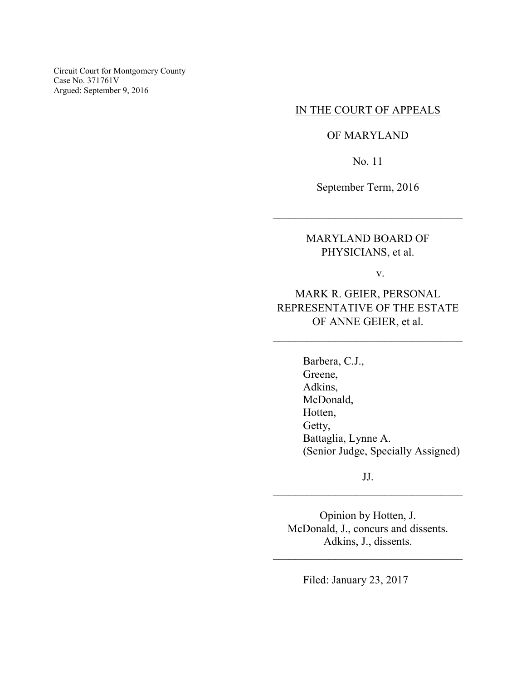Circuit Court for Montgomery County Case No. 371761V Argued: September 9, 2016

## IN THE COURT OF APPEALS

### OF MARYLAND

No. 11

September Term, 2016

\_\_\_\_\_\_\_\_\_\_\_\_\_\_\_\_\_\_\_\_\_\_\_\_\_\_\_\_\_\_\_\_\_\_

MARYLAND BOARD OF PHYSICIANS, et al.

v.

# MARK R. GEIER, PERSONAL REPRESENTATIVE OF THE ESTATE OF ANNE GEIER, et al.

\_\_\_\_\_\_\_\_\_\_\_\_\_\_\_\_\_\_\_\_\_\_\_\_\_\_\_\_\_\_\_\_\_\_

Barbera, C.J., Greene, Adkins, McDonald, Hotten, Getty, Battaglia, Lynne A. (Senior Judge, Specially Assigned)

JJ. \_\_\_\_\_\_\_\_\_\_\_\_\_\_\_\_\_\_\_\_\_\_\_\_\_\_\_\_\_\_\_\_\_\_

Opinion by Hotten, J. McDonald, J., concurs and dissents. Adkins, J., dissents.

\_\_\_\_\_\_\_\_\_\_\_\_\_\_\_\_\_\_\_\_\_\_\_\_\_\_\_\_\_\_\_\_\_\_

Filed: January 23, 2017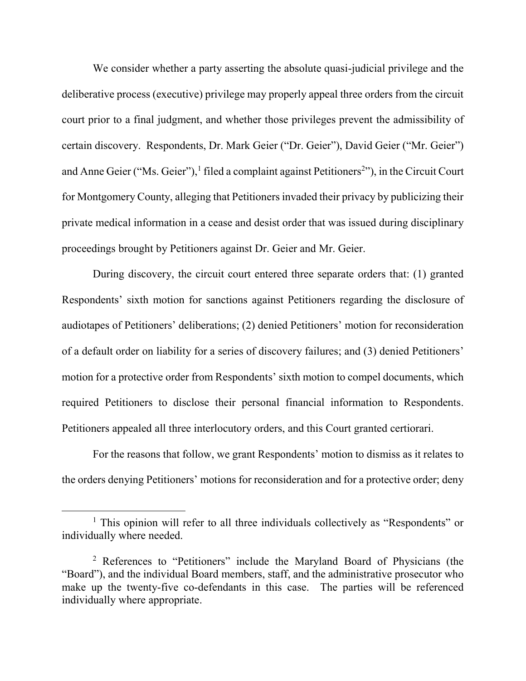We consider whether a party asserting the absolute quasi-judicial privilege and the deliberative process (executive) privilege may properly appeal three orders from the circuit court prior to a final judgment, and whether those privileges prevent the admissibility of certain discovery. Respondents, Dr. Mark Geier ("Dr. Geier"), David Geier ("Mr. Geier") and Anne Geier ("Ms. Geier"),<sup>1</sup> filed a complaint against Petitioners<sup>2</sup>"), in the Circuit Court for Montgomery County, alleging that Petitioners invaded their privacy by publicizing their private medical information in a cease and desist order that was issued during disciplinary proceedings brought by Petitioners against Dr. Geier and Mr. Geier.

 During discovery, the circuit court entered three separate orders that: (1) granted Respondents' sixth motion for sanctions against Petitioners regarding the disclosure of audiotapes of Petitioners' deliberations; (2) denied Petitioners' motion for reconsideration of a default order on liability for a series of discovery failures; and (3) denied Petitioners' motion for a protective order from Respondents' sixth motion to compel documents, which required Petitioners to disclose their personal financial information to Respondents. Petitioners appealed all three interlocutory orders, and this Court granted certiorari.

For the reasons that follow, we grant Respondents' motion to dismiss as it relates to the orders denying Petitioners' motions for reconsideration and for a protective order; deny

<sup>&</sup>lt;sup>1</sup> This opinion will refer to all three individuals collectively as "Respondents" or individually where needed.

<sup>2</sup> References to "Petitioners" include the Maryland Board of Physicians (the "Board"), and the individual Board members, staff, and the administrative prosecutor who make up the twenty-five co-defendants in this case. The parties will be referenced individually where appropriate.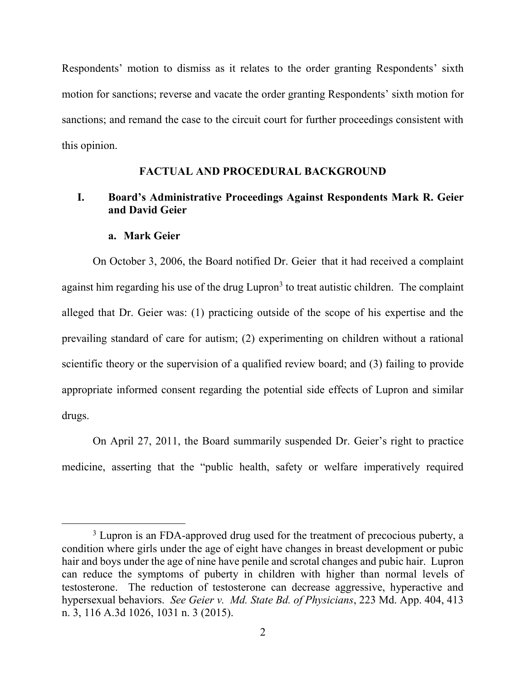Respondents' motion to dismiss as it relates to the order granting Respondents' sixth motion for sanctions; reverse and vacate the order granting Respondents' sixth motion for sanctions; and remand the case to the circuit court for further proceedings consistent with this opinion.

#### **FACTUAL AND PROCEDURAL BACKGROUND**

## **I. Board's Administrative Proceedings Against Respondents Mark R. Geier and David Geier**

#### **a. Mark Geier**

 $\overline{a}$ 

On October 3, 2006, the Board notified Dr. Geier that it had received a complaint against him regarding his use of the drug Lupron<sup>3</sup> to treat autistic children. The complaint alleged that Dr. Geier was: (1) practicing outside of the scope of his expertise and the prevailing standard of care for autism; (2) experimenting on children without a rational scientific theory or the supervision of a qualified review board; and (3) failing to provide appropriate informed consent regarding the potential side effects of Lupron and similar drugs.

 On April 27, 2011, the Board summarily suspended Dr. Geier's right to practice medicine, asserting that the "public health, safety or welfare imperatively required

<sup>&</sup>lt;sup>3</sup> Lupron is an FDA-approved drug used for the treatment of precocious puberty, a condition where girls under the age of eight have changes in breast development or pubic hair and boys under the age of nine have penile and scrotal changes and pubic hair. Lupron can reduce the symptoms of puberty in children with higher than normal levels of testosterone. The reduction of testosterone can decrease aggressive, hyperactive and hypersexual behaviors. *See Geier v. Md. State Bd. of Physicians*, 223 Md. App. 404, 413 n. 3, 116 A.3d 1026, 1031 n. 3 (2015).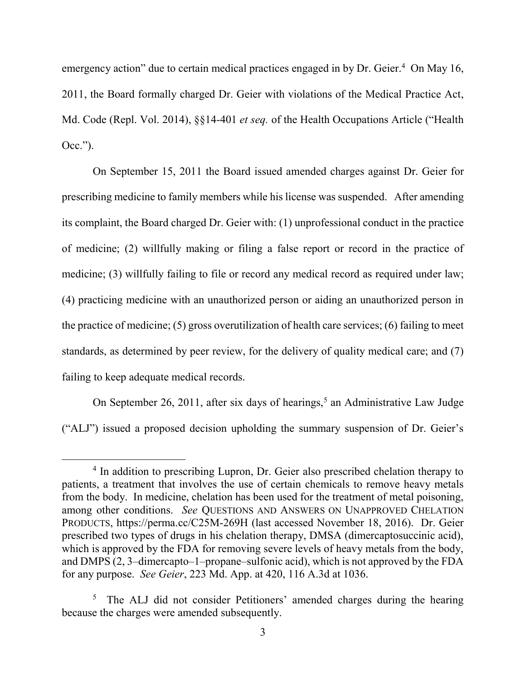emergency action" due to certain medical practices engaged in by Dr. Geier.<sup>4</sup> On May 16, 2011, the Board formally charged Dr. Geier with violations of the Medical Practice Act, Md. Code (Repl. Vol. 2014), §§14-401 *et seq.* of the Health Occupations Article ("Health Occ.").

 On September 15, 2011 the Board issued amended charges against Dr. Geier for prescribing medicine to family members while his license was suspended. After amending its complaint, the Board charged Dr. Geier with: (1) unprofessional conduct in the practice of medicine; (2) willfully making or filing a false report or record in the practice of medicine; (3) willfully failing to file or record any medical record as required under law; (4) practicing medicine with an unauthorized person or aiding an unauthorized person in the practice of medicine; (5) gross overutilization of health care services; (6) failing to meet standards, as determined by peer review, for the delivery of quality medical care; and (7) failing to keep adequate medical records.

On September 26, 2011, after six days of hearings,<sup>5</sup> an Administrative Law Judge ("ALJ") issued a proposed decision upholding the summary suspension of Dr. Geier's

<sup>&</sup>lt;sup>4</sup> In addition to prescribing Lupron, Dr. Geier also prescribed chelation therapy to patients, a treatment that involves the use of certain chemicals to remove heavy metals from the body. In medicine, chelation has been used for the treatment of metal poisoning, among other conditions. *See* QUESTIONS AND ANSWERS ON UNAPPROVED CHELATION PRODUCTS, https://perma.cc/C25M-269H (last accessed November 18, 2016). Dr. Geier prescribed two types of drugs in his chelation therapy, DMSA (dimercaptosuccinic acid), which is approved by the FDA for removing severe levels of heavy metals from the body, and DMPS (2, 3–dimercapto–1–propane–sulfonic acid), which is not approved by the FDA for any purpose. *See Geier*, 223 Md. App. at 420, 116 A.3d at 1036.

<sup>&</sup>lt;sup>5</sup> The ALJ did not consider Petitioners' amended charges during the hearing because the charges were amended subsequently.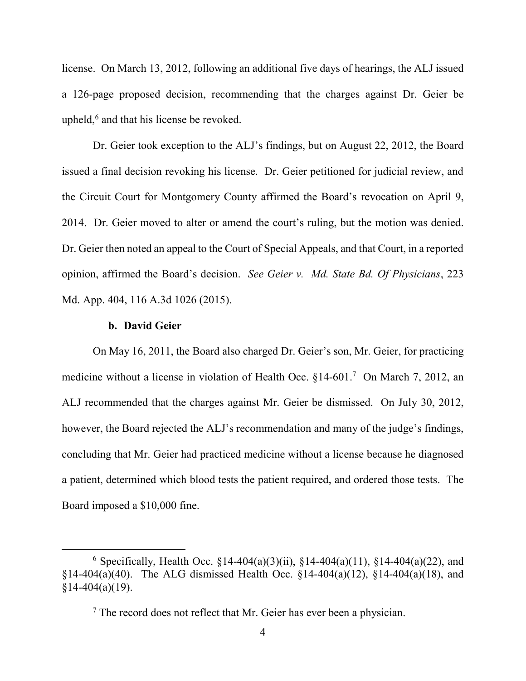license. On March 13, 2012, following an additional five days of hearings, the ALJ issued a 126-page proposed decision, recommending that the charges against Dr. Geier be upheld,<sup>6</sup> and that his license be revoked.

 Dr. Geier took exception to the ALJ's findings, but on August 22, 2012, the Board issued a final decision revoking his license. Dr. Geier petitioned for judicial review, and the Circuit Court for Montgomery County affirmed the Board's revocation on April 9, 2014. Dr. Geier moved to alter or amend the court's ruling, but the motion was denied. Dr. Geier then noted an appeal to the Court of Special Appeals, and that Court, in a reported opinion, affirmed the Board's decision. *See Geier v. Md. State Bd. Of Physicians*, 223 Md. App. 404, 116 A.3d 1026 (2015).

#### **b. David Geier**

 $\overline{a}$ 

 On May 16, 2011, the Board also charged Dr. Geier's son, Mr. Geier, for practicing medicine without a license in violation of Health Occ. §14-601.<sup>7</sup> On March 7, 2012, an ALJ recommended that the charges against Mr. Geier be dismissed. On July 30, 2012, however, the Board rejected the ALJ's recommendation and many of the judge's findings, concluding that Mr. Geier had practiced medicine without a license because he diagnosed a patient, determined which blood tests the patient required, and ordered those tests. The Board imposed a \$10,000 fine.

<sup>&</sup>lt;sup>6</sup> Specifically, Health Occ.  $$14-404(a)(3)(ii)$ ,  $$14-404(a)(11)$ ,  $$14-404(a)(22)$ , and §14-404(a)(40). The ALG dismissed Health Occ. §14-404(a)(12), §14-404(a)(18), and  $§14-404(a)(19).$ 

 $<sup>7</sup>$  The record does not reflect that Mr. Geier has ever been a physician.</sup>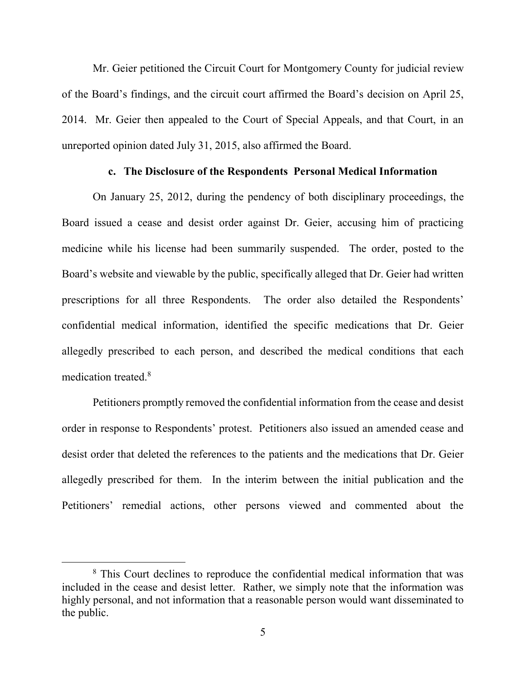Mr. Geier petitioned the Circuit Court for Montgomery County for judicial review of the Board's findings, and the circuit court affirmed the Board's decision on April 25, 2014. Mr. Geier then appealed to the Court of Special Appeals, and that Court, in an unreported opinion dated July 31, 2015, also affirmed the Board.

#### **c. The Disclosure of the Respondents Personal Medical Information**

 On January 25, 2012, during the pendency of both disciplinary proceedings, the Board issued a cease and desist order against Dr. Geier, accusing him of practicing medicine while his license had been summarily suspended. The order, posted to the Board's website and viewable by the public, specifically alleged that Dr. Geier had written prescriptions for all three Respondents. The order also detailed the Respondents' confidential medical information, identified the specific medications that Dr. Geier allegedly prescribed to each person, and described the medical conditions that each medication treated.<sup>8</sup>

 Petitioners promptly removed the confidential information from the cease and desist order in response to Respondents' protest. Petitioners also issued an amended cease and desist order that deleted the references to the patients and the medications that Dr. Geier allegedly prescribed for them. In the interim between the initial publication and the Petitioners' remedial actions, other persons viewed and commented about the

<sup>&</sup>lt;sup>8</sup> This Court declines to reproduce the confidential medical information that was included in the cease and desist letter. Rather, we simply note that the information was highly personal, and not information that a reasonable person would want disseminated to the public.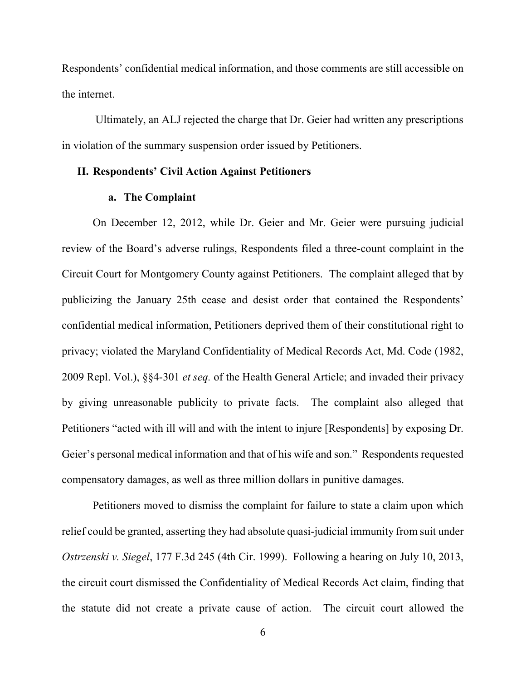Respondents' confidential medical information, and those comments are still accessible on the internet.

 Ultimately, an ALJ rejected the charge that Dr. Geier had written any prescriptions in violation of the summary suspension order issued by Petitioners.

## **II. Respondents' Civil Action Against Petitioners**

### **a. The Complaint**

 On December 12, 2012, while Dr. Geier and Mr. Geier were pursuing judicial review of the Board's adverse rulings, Respondents filed a three-count complaint in the Circuit Court for Montgomery County against Petitioners. The complaint alleged that by publicizing the January 25th cease and desist order that contained the Respondents' confidential medical information, Petitioners deprived them of their constitutional right to privacy; violated the Maryland Confidentiality of Medical Records Act, Md. Code (1982, 2009 Repl. Vol.), §§4-301 *et seq.* of the Health General Article; and invaded their privacy by giving unreasonable publicity to private facts. The complaint also alleged that Petitioners "acted with ill will and with the intent to injure [Respondents] by exposing Dr. Geier's personal medical information and that of his wife and son." Respondents requested compensatory damages, as well as three million dollars in punitive damages.

 Petitioners moved to dismiss the complaint for failure to state a claim upon which relief could be granted, asserting they had absolute quasi-judicial immunity from suit under *Ostrzenski v. Siegel*, 177 F.3d 245 (4th Cir. 1999). Following a hearing on July 10, 2013, the circuit court dismissed the Confidentiality of Medical Records Act claim, finding that the statute did not create a private cause of action. The circuit court allowed the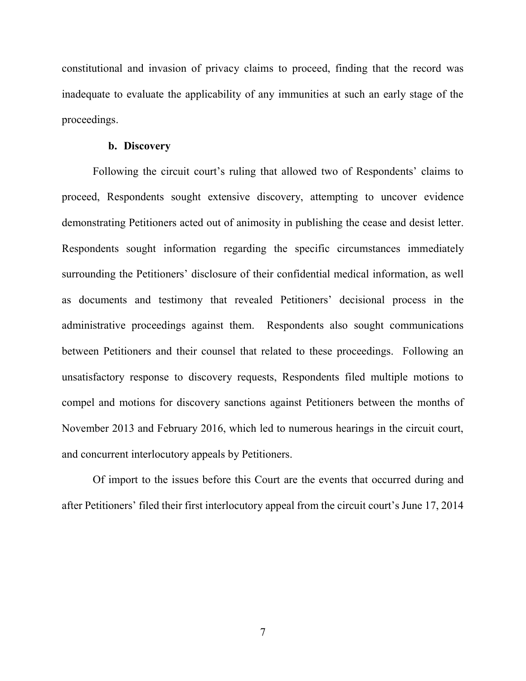constitutional and invasion of privacy claims to proceed, finding that the record was inadequate to evaluate the applicability of any immunities at such an early stage of the proceedings.

#### **b. Discovery**

Following the circuit court's ruling that allowed two of Respondents' claims to proceed, Respondents sought extensive discovery, attempting to uncover evidence demonstrating Petitioners acted out of animosity in publishing the cease and desist letter. Respondents sought information regarding the specific circumstances immediately surrounding the Petitioners' disclosure of their confidential medical information, as well as documents and testimony that revealed Petitioners' decisional process in the administrative proceedings against them. Respondents also sought communications between Petitioners and their counsel that related to these proceedings. Following an unsatisfactory response to discovery requests, Respondents filed multiple motions to compel and motions for discovery sanctions against Petitioners between the months of November 2013 and February 2016, which led to numerous hearings in the circuit court, and concurrent interlocutory appeals by Petitioners.

 Of import to the issues before this Court are the events that occurred during and after Petitioners' filed their first interlocutory appeal from the circuit court's June 17, 2014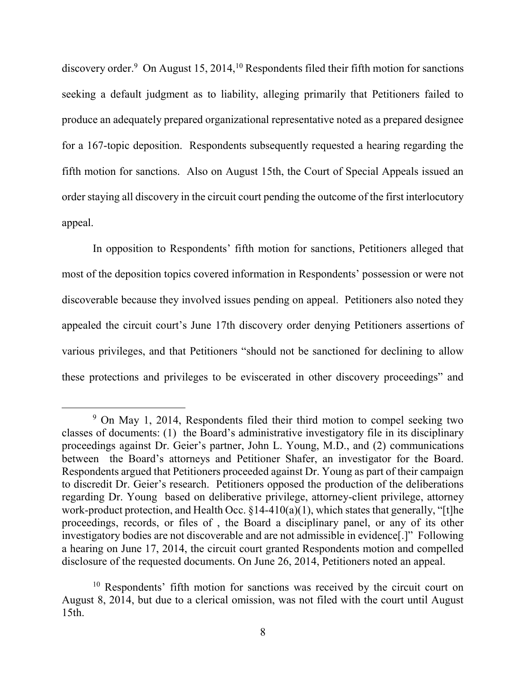discovery order.<sup>9</sup> On August 15, 2014,<sup>10</sup> Respondents filed their fifth motion for sanctions seeking a default judgment as to liability, alleging primarily that Petitioners failed to produce an adequately prepared organizational representative noted as a prepared designee for a 167-topic deposition. Respondents subsequently requested a hearing regarding the fifth motion for sanctions. Also on August 15th, the Court of Special Appeals issued an order staying all discovery in the circuit court pending the outcome of the first interlocutory appeal.

 In opposition to Respondents' fifth motion for sanctions, Petitioners alleged that most of the deposition topics covered information in Respondents' possession or were not discoverable because they involved issues pending on appeal. Petitioners also noted they appealed the circuit court's June 17th discovery order denying Petitioners assertions of various privileges, and that Petitioners "should not be sanctioned for declining to allow these protections and privileges to be eviscerated in other discovery proceedings" and

<sup>&</sup>lt;sup>9</sup> On May 1, 2014, Respondents filed their third motion to compel seeking two classes of documents: (1) the Board's administrative investigatory file in its disciplinary proceedings against Dr. Geier's partner, John L. Young, M.D., and (2) communications between the Board's attorneys and Petitioner Shafer, an investigator for the Board. Respondents argued that Petitioners proceeded against Dr. Young as part of their campaign to discredit Dr. Geier's research. Petitioners opposed the production of the deliberations regarding Dr. Young based on deliberative privilege, attorney-client privilege, attorney work-product protection, and Health Occ.  $\S 14-410(a)(1)$ , which states that generally, "[t]he proceedings, records, or files of , the Board a disciplinary panel, or any of its other investigatory bodies are not discoverable and are not admissible in evidence[.]" Following a hearing on June 17, 2014, the circuit court granted Respondents motion and compelled disclosure of the requested documents. On June 26, 2014, Petitioners noted an appeal.

<sup>&</sup>lt;sup>10</sup> Respondents' fifth motion for sanctions was received by the circuit court on August 8, 2014, but due to a clerical omission, was not filed with the court until August 15th.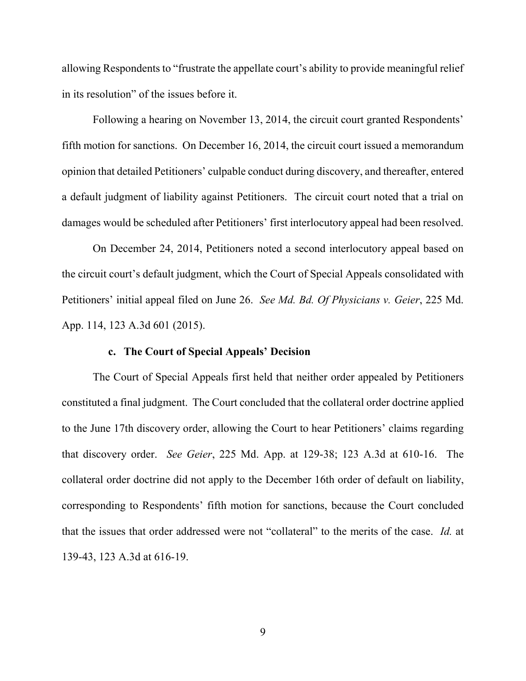allowing Respondents to "frustrate the appellate court's ability to provide meaningful relief in its resolution" of the issues before it.

Following a hearing on November 13, 2014, the circuit court granted Respondents' fifth motion for sanctions. On December 16, 2014, the circuit court issued a memorandum opinion that detailed Petitioners' culpable conduct during discovery, and thereafter, entered a default judgment of liability against Petitioners. The circuit court noted that a trial on damages would be scheduled after Petitioners' first interlocutory appeal had been resolved.

 On December 24, 2014, Petitioners noted a second interlocutory appeal based on the circuit court's default judgment, which the Court of Special Appeals consolidated with Petitioners' initial appeal filed on June 26. *See Md. Bd. Of Physicians v. Geier*, 225 Md. App. 114, 123 A.3d 601 (2015).

## **c. The Court of Special Appeals' Decision**

 The Court of Special Appeals first held that neither order appealed by Petitioners constituted a final judgment. The Court concluded that the collateral order doctrine applied to the June 17th discovery order, allowing the Court to hear Petitioners' claims regarding that discovery order. *See Geier*, 225 Md. App. at 129-38; 123 A.3d at 610-16. The collateral order doctrine did not apply to the December 16th order of default on liability, corresponding to Respondents' fifth motion for sanctions, because the Court concluded that the issues that order addressed were not "collateral" to the merits of the case. *Id.* at 139-43, 123 A.3d at 616-19.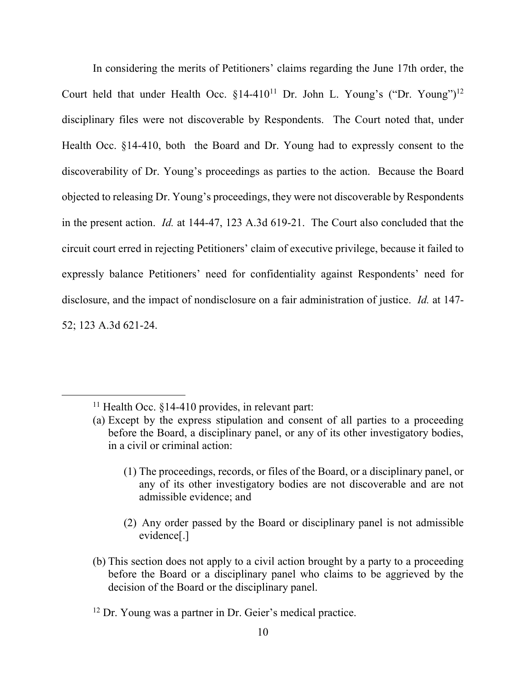In considering the merits of Petitioners' claims regarding the June 17th order, the Court held that under Health Occ.  $\S 14-410^{11}$  Dr. John L. Young's ("Dr. Young")<sup>12</sup> disciplinary files were not discoverable by Respondents. The Court noted that, under Health Occ. §14-410, both the Board and Dr. Young had to expressly consent to the discoverability of Dr. Young's proceedings as parties to the action. Because the Board objected to releasing Dr. Young's proceedings, they were not discoverable by Respondents in the present action. *Id.* at 144-47, 123 A.3d 619-21. The Court also concluded that the circuit court erred in rejecting Petitioners' claim of executive privilege, because it failed to expressly balance Petitioners' need for confidentiality against Respondents' need for disclosure, and the impact of nondisclosure on a fair administration of justice. *Id.* at 147- 52; 123 A.3d 621-24.

- (1) The proceedings, records, or files of the Board, or a disciplinary panel, or any of its other investigatory bodies are not discoverable and are not admissible evidence; and
- (2) Any order passed by the Board or disciplinary panel is not admissible evidence[.]
- (b) This section does not apply to a civil action brought by a party to a proceeding before the Board or a disciplinary panel who claims to be aggrieved by the decision of the Board or the disciplinary panel.

<sup>&</sup>lt;sup>11</sup> Health Occ.  $§14-410$  provides, in relevant part:

<sup>(</sup>a) Except by the express stipulation and consent of all parties to a proceeding before the Board, a disciplinary panel, or any of its other investigatory bodies, in a civil or criminal action:

<sup>&</sup>lt;sup>12</sup> Dr. Young was a partner in Dr. Geier's medical practice.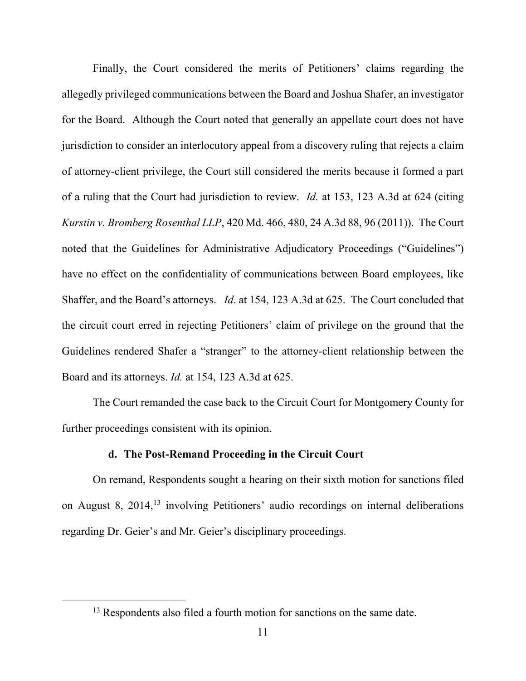Finally, the Court considered the merits of Petitioners' claims regarding the allegedly privileged communications between the Board and Joshua Shafer, an investigator for the Board. Although the Court noted that generally an appellate court does not have jurisdiction to consider an interlocutory appeal from a discovery ruling that rejects a claim of attorney-client privilege, the Court still considered the merits because it formed a part of a ruling that the Court had jurisdiction to review. *Id.* at 153, 123 A.3d at 624 (citing *Kurstin v. Bromberg Rosenthal LLP*, 420 Md. 466, 480, 24 A.3d 88, 96 (2011)). The Court noted that the Guidelines for Administrative Adjudicatory Proceedings ("Guidelines") have no effect on the confidentiality of communications between Board employees, like Shaffer, and the Board's attorneys. *Id.* at 154, 123 A.3d at 625. The Court concluded that the circuit court erred in rejecting Petitioners' claim of privilege on the ground that the Guidelines rendered Shafer a "stranger" to the attorney-client relationship between the Board and its attorneys. *Id.* at 154, 123 A.3d at 625.

 The Court remanded the case back to the Circuit Court for Montgomery County for further proceedings consistent with its opinion.

#### **d. The Post-Remand Proceeding in the Circuit Court**

On remand, Respondents sought a hearing on their sixth motion for sanctions filed on August 8, 2014,<sup>13</sup> involving Petitioners' audio recordings on internal deliberations regarding Dr. Geier's and Mr. Geier's disciplinary proceedings.

<sup>&</sup>lt;sup>13</sup> Respondents also filed a fourth motion for sanctions on the same date.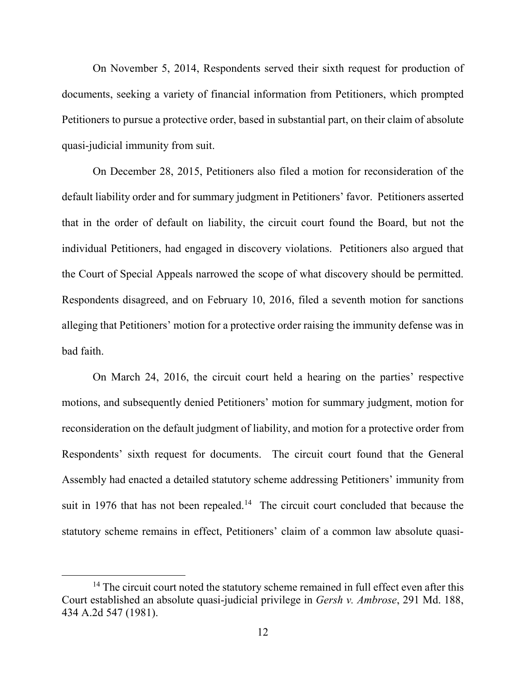On November 5, 2014, Respondents served their sixth request for production of documents, seeking a variety of financial information from Petitioners, which prompted Petitioners to pursue a protective order, based in substantial part, on their claim of absolute quasi-judicial immunity from suit.

On December 28, 2015, Petitioners also filed a motion for reconsideration of the default liability order and for summary judgment in Petitioners' favor. Petitioners asserted that in the order of default on liability, the circuit court found the Board, but not the individual Petitioners, had engaged in discovery violations. Petitioners also argued that the Court of Special Appeals narrowed the scope of what discovery should be permitted. Respondents disagreed, and on February 10, 2016, filed a seventh motion for sanctions alleging that Petitioners' motion for a protective order raising the immunity defense was in bad faith.

On March 24, 2016, the circuit court held a hearing on the parties' respective motions, and subsequently denied Petitioners' motion for summary judgment, motion for reconsideration on the default judgment of liability, and motion for a protective order from Respondents' sixth request for documents. The circuit court found that the General Assembly had enacted a detailed statutory scheme addressing Petitioners' immunity from suit in 1976 that has not been repealed.<sup>14</sup> The circuit court concluded that because the statutory scheme remains in effect, Petitioners' claim of a common law absolute quasi-

<sup>&</sup>lt;sup>14</sup> The circuit court noted the statutory scheme remained in full effect even after this Court established an absolute quasi-judicial privilege in *Gersh v. Ambrose*, 291 Md. 188, 434 A.2d 547 (1981).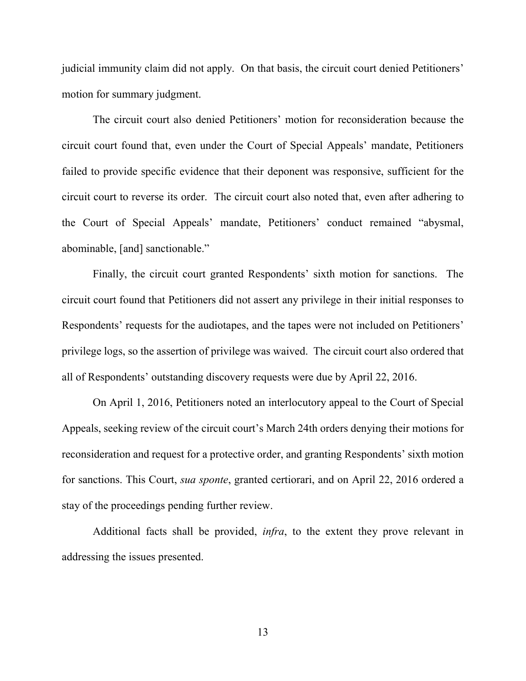judicial immunity claim did not apply. On that basis, the circuit court denied Petitioners' motion for summary judgment.

The circuit court also denied Petitioners' motion for reconsideration because the circuit court found that, even under the Court of Special Appeals' mandate, Petitioners failed to provide specific evidence that their deponent was responsive, sufficient for the circuit court to reverse its order. The circuit court also noted that, even after adhering to the Court of Special Appeals' mandate, Petitioners' conduct remained "abysmal, abominable, [and] sanctionable."

Finally, the circuit court granted Respondents' sixth motion for sanctions. The circuit court found that Petitioners did not assert any privilege in their initial responses to Respondents' requests for the audiotapes, and the tapes were not included on Petitioners' privilege logs, so the assertion of privilege was waived. The circuit court also ordered that all of Respondents' outstanding discovery requests were due by April 22, 2016.

On April 1, 2016, Petitioners noted an interlocutory appeal to the Court of Special Appeals, seeking review of the circuit court's March 24th orders denying their motions for reconsideration and request for a protective order, and granting Respondents' sixth motion for sanctions. This Court, *sua sponte*, granted certiorari, and on April 22, 2016 ordered a stay of the proceedings pending further review.

Additional facts shall be provided, *infra*, to the extent they prove relevant in addressing the issues presented.

13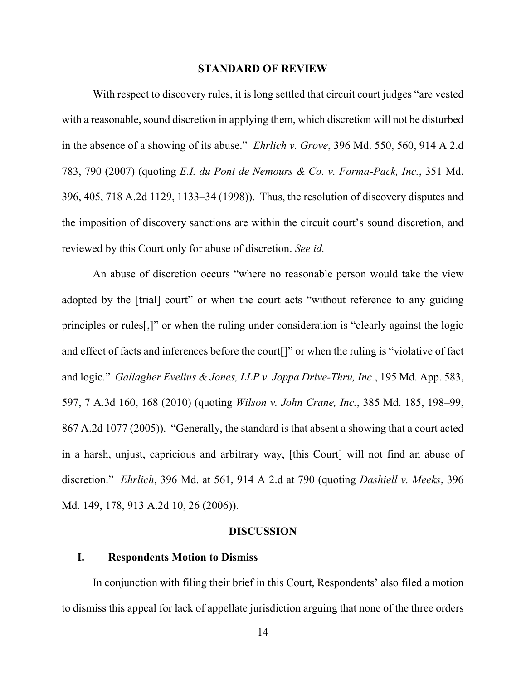#### **STANDARD OF REVIEW**

 With respect to discovery rules, it is long settled that circuit court judges "are vested with a reasonable, sound discretion in applying them, which discretion will not be disturbed in the absence of a showing of its abuse." *Ehrlich v. Grove*, 396 Md. 550, 560, 914 A 2.d 783, 790 (2007) (quoting *E.I. du Pont de Nemours & Co. v. Forma-Pack, Inc.*, 351 Md. 396, 405, 718 A.2d 1129, 1133–34 (1998)). Thus, the resolution of discovery disputes and the imposition of discovery sanctions are within the circuit court's sound discretion, and reviewed by this Court only for abuse of discretion. *See id.*

An abuse of discretion occurs "where no reasonable person would take the view adopted by the [trial] court" or when the court acts "without reference to any guiding principles or rules[,]" or when the ruling under consideration is "clearly against the logic and effect of facts and inferences before the court[]" or when the ruling is "violative of fact and logic." *Gallagher Evelius & Jones, LLP v. Joppa Drive-Thru, Inc.*, 195 Md. App. 583, 597, 7 A.3d 160, 168 (2010) (quoting *Wilson v. John Crane, Inc.*, 385 Md. 185, 198–99, 867 A.2d 1077 (2005)). "Generally, the standard is that absent a showing that a court acted in a harsh, unjust, capricious and arbitrary way, [this Court] will not find an abuse of discretion." *Ehrlich*, 396 Md. at 561, 914 A 2.d at 790 (quoting *Dashiell v. Meeks*, 396 Md. 149, 178, 913 A.2d 10, 26 (2006)).

#### **DISCUSSION**

#### **I. Respondents Motion to Dismiss**

In conjunction with filing their brief in this Court, Respondents' also filed a motion to dismiss this appeal for lack of appellate jurisdiction arguing that none of the three orders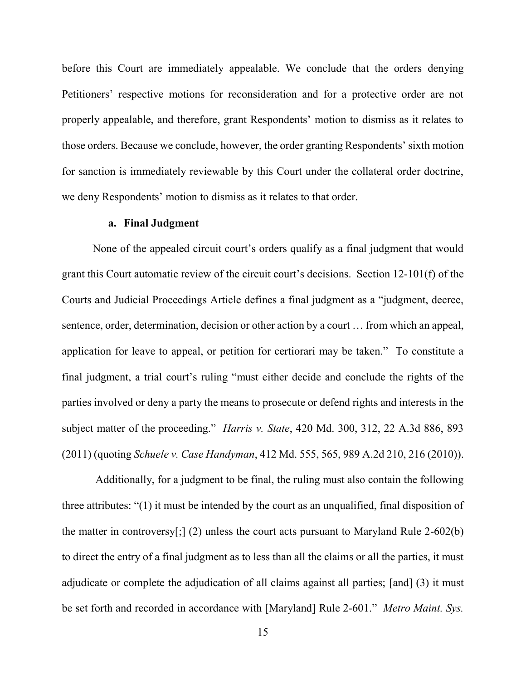before this Court are immediately appealable. We conclude that the orders denying Petitioners' respective motions for reconsideration and for a protective order are not properly appealable, and therefore, grant Respondents' motion to dismiss as it relates to those orders. Because we conclude, however, the order granting Respondents' sixth motion for sanction is immediately reviewable by this Court under the collateral order doctrine, we deny Respondents' motion to dismiss as it relates to that order.

#### **a. Final Judgment**

None of the appealed circuit court's orders qualify as a final judgment that would grant this Court automatic review of the circuit court's decisions. Section 12-101(f) of the Courts and Judicial Proceedings Article defines a final judgment as a "judgment, decree, sentence, order, determination, decision or other action by a court … from which an appeal, application for leave to appeal, or petition for certiorari may be taken." To constitute a final judgment, a trial court's ruling "must either decide and conclude the rights of the parties involved or deny a party the means to prosecute or defend rights and interests in the subject matter of the proceeding." *Harris v. State*, 420 Md. 300, 312, 22 A.3d 886, 893 (2011) (quoting *Schuele v. Case Handyman*, 412 Md. 555, 565, 989 A.2d 210, 216 (2010)).

Additionally, for a judgment to be final, the ruling must also contain the following three attributes: "(1) it must be intended by the court as an unqualified, final disposition of the matter in controversy[;] (2) unless the court acts pursuant to Maryland Rule 2-602(b) to direct the entry of a final judgment as to less than all the claims or all the parties, it must adjudicate or complete the adjudication of all claims against all parties; [and] (3) it must be set forth and recorded in accordance with [Maryland] Rule 2-601." *Metro Maint. Sys.*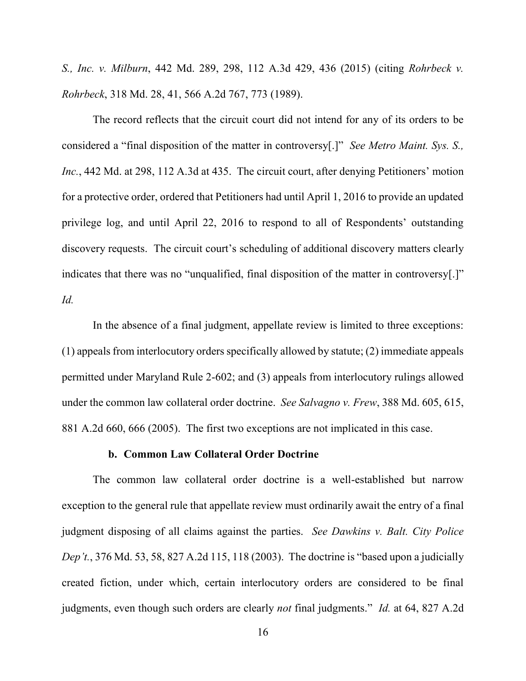*S., Inc. v. Milburn*, 442 Md. 289, 298, 112 A.3d 429, 436 (2015) (citing *Rohrbeck v. Rohrbeck*, 318 Md. 28, 41, 566 A.2d 767, 773 (1989).

The record reflects that the circuit court did not intend for any of its orders to be considered a "final disposition of the matter in controversy[.]" *See Metro Maint. Sys. S., Inc.*, 442 Md. at 298, 112 A.3d at 435. The circuit court, after denying Petitioners' motion for a protective order, ordered that Petitioners had until April 1, 2016 to provide an updated privilege log, and until April 22, 2016 to respond to all of Respondents' outstanding discovery requests. The circuit court's scheduling of additional discovery matters clearly indicates that there was no "unqualified, final disposition of the matter in controversy[.]" *Id.*

In the absence of a final judgment, appellate review is limited to three exceptions: (1) appeals from interlocutory orders specifically allowed by statute; (2) immediate appeals permitted under Maryland Rule 2-602; and (3) appeals from interlocutory rulings allowed under the common law collateral order doctrine. *See Salvagno v. Frew*, 388 Md. 605, 615, 881 A.2d 660, 666 (2005). The first two exceptions are not implicated in this case.

#### **b. Common Law Collateral Order Doctrine**

 The common law collateral order doctrine is a well-established but narrow exception to the general rule that appellate review must ordinarily await the entry of a final judgment disposing of all claims against the parties. *See Dawkins v. Balt. City Police Dep't.*, 376 Md. 53, 58, 827 A.2d 115, 118 (2003). The doctrine is "based upon a judicially created fiction, under which, certain interlocutory orders are considered to be final judgments, even though such orders are clearly *not* final judgments." *Id.* at 64, 827 A.2d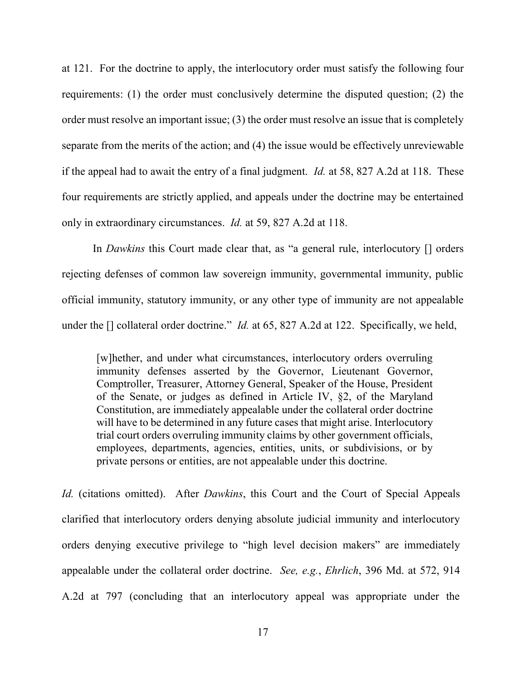at 121. For the doctrine to apply, the interlocutory order must satisfy the following four requirements: (1) the order must conclusively determine the disputed question; (2) the order must resolve an important issue; (3) the order must resolve an issue that is completely separate from the merits of the action; and (4) the issue would be effectively unreviewable if the appeal had to await the entry of a final judgment. *Id.* at 58, 827 A.2d at 118. These four requirements are strictly applied, and appeals under the doctrine may be entertained only in extraordinary circumstances. *Id.* at 59, 827 A.2d at 118.

In *Dawkins* this Court made clear that, as "a general rule, interlocutory [] orders rejecting defenses of common law sovereign immunity, governmental immunity, public official immunity, statutory immunity, or any other type of immunity are not appealable under the [] collateral order doctrine." *Id.* at 65, 827 A.2d at 122. Specifically, we held,

[w]hether, and under what circumstances, interlocutory orders overruling immunity defenses asserted by the Governor, Lieutenant Governor, Comptroller, Treasurer, Attorney General, Speaker of the House, President of the Senate, or judges as defined in Article IV, §2, of the Maryland Constitution, are immediately appealable under the collateral order doctrine will have to be determined in any future cases that might arise. Interlocutory trial court orders overruling immunity claims by other government officials, employees, departments, agencies, entities, units, or subdivisions, or by private persons or entities, are not appealable under this doctrine.

*Id.* (citations omitted). After *Dawkins*, this Court and the Court of Special Appeals clarified that interlocutory orders denying absolute judicial immunity and interlocutory orders denying executive privilege to "high level decision makers" are immediately appealable under the collateral order doctrine. *See, e.g.*, *Ehrlich*, 396 Md. at 572, 914 A.2d at 797 (concluding that an interlocutory appeal was appropriate under the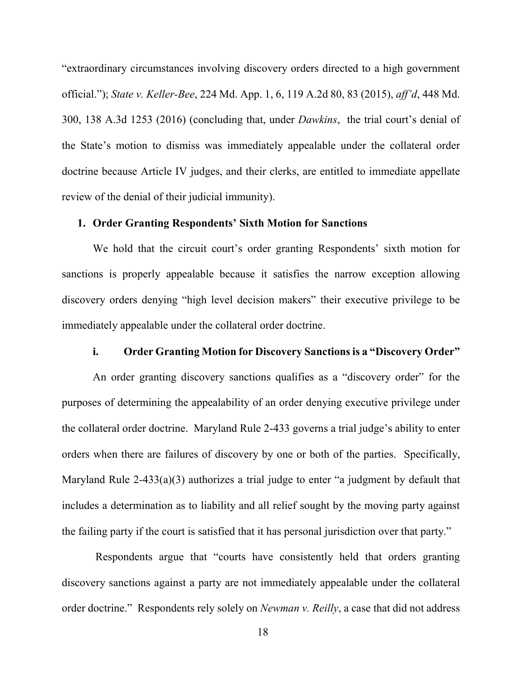"extraordinary circumstances involving discovery orders directed to a high government official."); *State v. Keller-Bee*, 224 Md. App. 1, 6, 119 A.2d 80, 83 (2015), *aff'd*, 448 Md. 300, 138 A.3d 1253 (2016) (concluding that, under *Dawkins*, the trial court's denial of the State's motion to dismiss was immediately appealable under the collateral order doctrine because Article IV judges, and their clerks, are entitled to immediate appellate review of the denial of their judicial immunity).

#### **1. Order Granting Respondents' Sixth Motion for Sanctions**

We hold that the circuit court's order granting Respondents' sixth motion for sanctions is properly appealable because it satisfies the narrow exception allowing discovery orders denying "high level decision makers" their executive privilege to be immediately appealable under the collateral order doctrine.

### **i. Order Granting Motion for Discovery Sanctions is a "Discovery Order"**

An order granting discovery sanctions qualifies as a "discovery order" for the purposes of determining the appealability of an order denying executive privilege under the collateral order doctrine. Maryland Rule 2-433 governs a trial judge's ability to enter orders when there are failures of discovery by one or both of the parties. Specifically, Maryland Rule 2-433(a)(3) authorizes a trial judge to enter "a judgment by default that includes a determination as to liability and all relief sought by the moving party against the failing party if the court is satisfied that it has personal jurisdiction over that party."

Respondents argue that "courts have consistently held that orders granting discovery sanctions against a party are not immediately appealable under the collateral order doctrine." Respondents rely solely on *Newman v. Reilly*, a case that did not address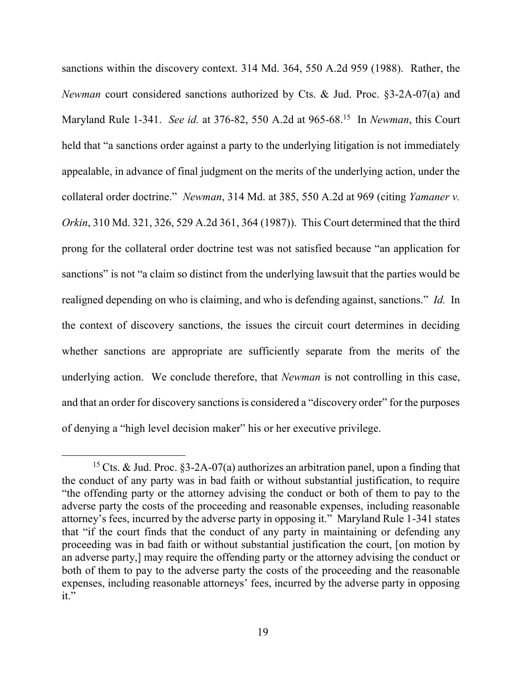sanctions within the discovery context. 314 Md. 364, 550 A.2d 959 (1988). Rather, the *Newman* court considered sanctions authorized by Cts. & Jud. Proc. §3-2A-07(a) and Maryland Rule 1-341. *See id.* at 376-82, 550 A.2d at 965-68.<sup>15</sup> In *Newman*, this Court held that "a sanctions order against a party to the underlying litigation is not immediately appealable, in advance of final judgment on the merits of the underlying action, under the collateral order doctrine." *Newman*, 314 Md. at 385, 550 A.2d at 969 (citing *Yamaner v. Orkin*, 310 Md. 321, 326, 529 A.2d 361, 364 (1987)). This Court determined that the third prong for the collateral order doctrine test was not satisfied because "an application for sanctions" is not "a claim so distinct from the underlying lawsuit that the parties would be realigned depending on who is claiming, and who is defending against, sanctions." *Id.* In the context of discovery sanctions, the issues the circuit court determines in deciding whether sanctions are appropriate are sufficiently separate from the merits of the underlying action. We conclude therefore, that *Newman* is not controlling in this case, and that an order for discovery sanctions is considered a "discovery order" for the purposes of denying a "high level decision maker" his or her executive privilege.

<sup>&</sup>lt;sup>15</sup> Cts. & Jud. Proc. §3-2A-07(a) authorizes an arbitration panel, upon a finding that the conduct of any party was in bad faith or without substantial justification, to require "the offending party or the attorney advising the conduct or both of them to pay to the adverse party the costs of the proceeding and reasonable expenses, including reasonable attorney's fees, incurred by the adverse party in opposing it." Maryland Rule 1-341 states that "if the court finds that the conduct of any party in maintaining or defending any proceeding was in bad faith or without substantial justification the court, [on motion by an adverse party,] may require the offending party or the attorney advising the conduct or both of them to pay to the adverse party the costs of the proceeding and the reasonable expenses, including reasonable attorneys' fees, incurred by the adverse party in opposing it."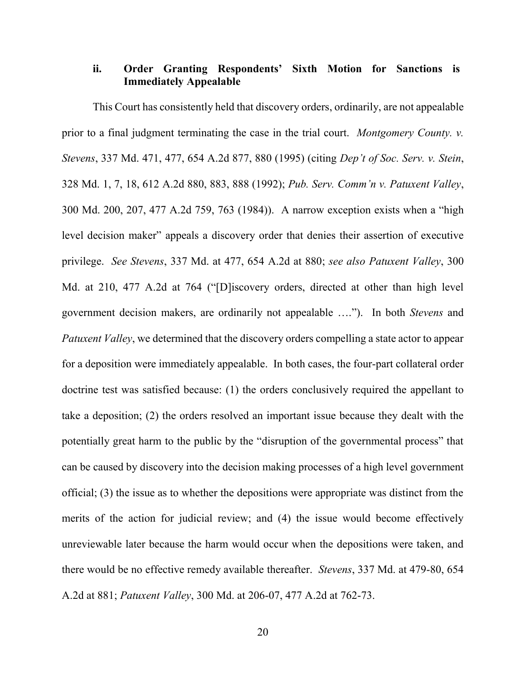## **ii. Order Granting Respondents' Sixth Motion for Sanctions is Immediately Appealable**

This Court has consistently held that discovery orders, ordinarily, are not appealable prior to a final judgment terminating the case in the trial court. *Montgomery County. v. Stevens*, 337 Md. 471, 477, 654 A.2d 877, 880 (1995) (citing *Dep't of Soc. Serv. v. Stein*, 328 Md. 1, 7, 18, 612 A.2d 880, 883, 888 (1992); *Pub. Serv. Comm'n v. Patuxent Valley*, 300 Md. 200, 207, 477 A.2d 759, 763 (1984)). A narrow exception exists when a "high level decision maker" appeals a discovery order that denies their assertion of executive privilege. *See Stevens*, 337 Md. at 477, 654 A.2d at 880; *see also Patuxent Valley*, 300 Md. at 210, 477 A.2d at 764 ("[D]iscovery orders, directed at other than high level government decision makers, are ordinarily not appealable …."). In both *Stevens* and *Patuxent Valley*, we determined that the discovery orders compelling a state actor to appear for a deposition were immediately appealable. In both cases, the four-part collateral order doctrine test was satisfied because: (1) the orders conclusively required the appellant to take a deposition; (2) the orders resolved an important issue because they dealt with the potentially great harm to the public by the "disruption of the governmental process" that can be caused by discovery into the decision making processes of a high level government official; (3) the issue as to whether the depositions were appropriate was distinct from the merits of the action for judicial review; and (4) the issue would become effectively unreviewable later because the harm would occur when the depositions were taken, and there would be no effective remedy available thereafter. *Stevens*, 337 Md. at 479-80, 654 A.2d at 881; *Patuxent Valley*, 300 Md. at 206-07, 477 A.2d at 762-73.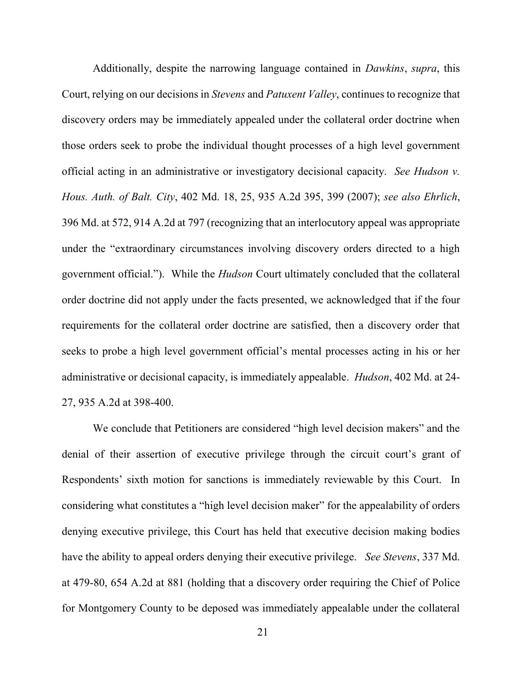Additionally, despite the narrowing language contained in *Dawkins*, *supra*, this Court, relying on our decisions in *Stevens* and *Patuxent Valley*, continues to recognize that discovery orders may be immediately appealed under the collateral order doctrine when those orders seek to probe the individual thought processes of a high level government official acting in an administrative or investigatory decisional capacity. *See Hudson v. Hous. Auth. of Balt. City*, 402 Md. 18, 25, 935 A.2d 395, 399 (2007); *see also Ehrlich*, 396 Md. at 572, 914 A.2d at 797 (recognizing that an interlocutory appeal was appropriate under the "extraordinary circumstances involving discovery orders directed to a high government official."). While the *Hudson* Court ultimately concluded that the collateral order doctrine did not apply under the facts presented, we acknowledged that if the four requirements for the collateral order doctrine are satisfied, then a discovery order that seeks to probe a high level government official's mental processes acting in his or her administrative or decisional capacity, is immediately appealable. *Hudson*, 402 Md. at 24- 27, 935 A.2d at 398-400.

We conclude that Petitioners are considered "high level decision makers" and the denial of their assertion of executive privilege through the circuit court's grant of Respondents' sixth motion for sanctions is immediately reviewable by this Court. In considering what constitutes a "high level decision maker" for the appealability of orders denying executive privilege, this Court has held that executive decision making bodies have the ability to appeal orders denying their executive privilege. *See Stevens*, 337 Md. at 479-80, 654 A.2d at 881 (holding that a discovery order requiring the Chief of Police for Montgomery County to be deposed was immediately appealable under the collateral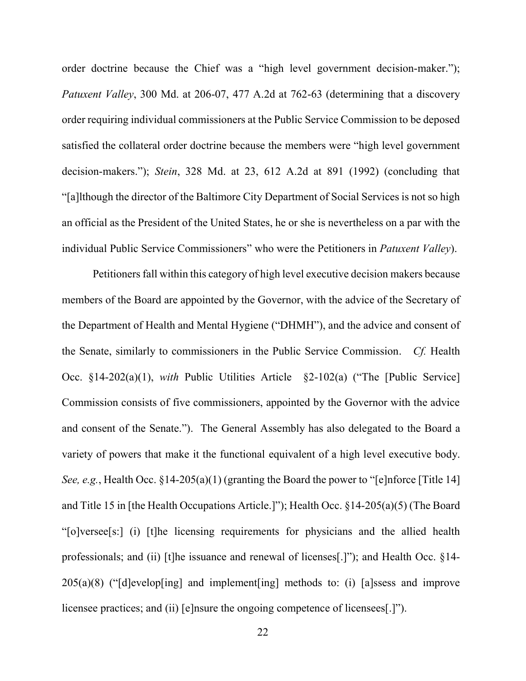order doctrine because the Chief was a "high level government decision-maker."); *Patuxent Valley*, 300 Md. at 206-07, 477 A.2d at 762-63 (determining that a discovery order requiring individual commissioners at the Public Service Commission to be deposed satisfied the collateral order doctrine because the members were "high level government decision-makers."); *Stein*, 328 Md. at 23, 612 A.2d at 891 (1992) (concluding that "[a]lthough the director of the Baltimore City Department of Social Services is not so high an official as the President of the United States, he or she is nevertheless on a par with the individual Public Service Commissioners" who were the Petitioners in *Patuxent Valley*).

Petitioners fall within this category of high level executive decision makers because members of the Board are appointed by the Governor, with the advice of the Secretary of the Department of Health and Mental Hygiene ("DHMH"), and the advice and consent of the Senate, similarly to commissioners in the Public Service Commission. *Cf.* Health Occ. §14-202(a)(1), *with* Public Utilities Article §2-102(a) ("The [Public Service] Commission consists of five commissioners, appointed by the Governor with the advice and consent of the Senate."). The General Assembly has also delegated to the Board a variety of powers that make it the functional equivalent of a high level executive body. *See, e.g.*, Health Occ. §14-205(a)(1) (granting the Board the power to "[e]nforce [Title 14] and Title 15 in [the Health Occupations Article.]"); Health Occ. §14-205(a)(5) (The Board "[o]versee[s:] (i) [t]he licensing requirements for physicians and the allied health professionals; and (ii) [t]he issuance and renewal of licenses[.]"); and Health Occ. §14- 205(a)(8) ("[d]evelop[ing] and implement[ing] methods to: (i) [a]ssess and improve licensee practices; and (ii) [e]nsure the ongoing competence of licensees[.]").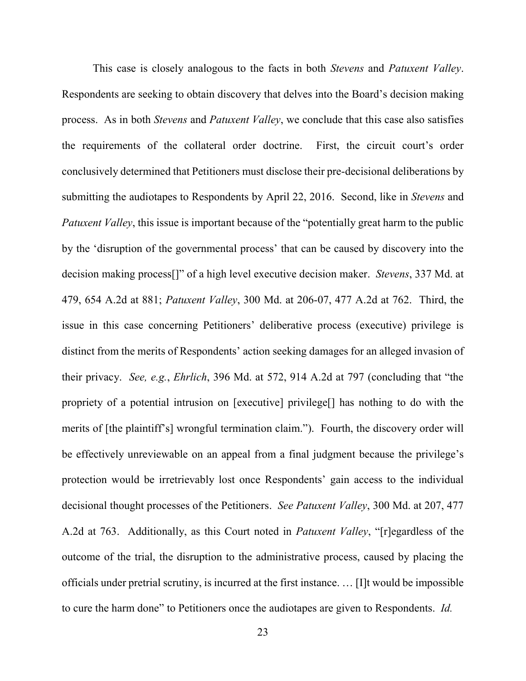This case is closely analogous to the facts in both *Stevens* and *Patuxent Valley*. Respondents are seeking to obtain discovery that delves into the Board's decision making process. As in both *Stevens* and *Patuxent Valley*, we conclude that this case also satisfies the requirements of the collateral order doctrine. First, the circuit court's order conclusively determined that Petitioners must disclose their pre-decisional deliberations by submitting the audiotapes to Respondents by April 22, 2016. Second, like in *Stevens* and *Patuxent Valley*, this issue is important because of the "potentially great harm to the public by the 'disruption of the governmental process' that can be caused by discovery into the decision making process[]" of a high level executive decision maker. *Stevens*, 337 Md. at 479, 654 A.2d at 881; *Patuxent Valley*, 300 Md. at 206-07, 477 A.2d at 762. Third, the issue in this case concerning Petitioners' deliberative process (executive) privilege is distinct from the merits of Respondents' action seeking damages for an alleged invasion of their privacy. *See, e.g.*, *Ehrlich*, 396 Md. at 572, 914 A.2d at 797 (concluding that "the propriety of a potential intrusion on [executive] privilege[] has nothing to do with the merits of [the plaintiff's] wrongful termination claim."). Fourth, the discovery order will be effectively unreviewable on an appeal from a final judgment because the privilege's protection would be irretrievably lost once Respondents' gain access to the individual decisional thought processes of the Petitioners. *See Patuxent Valley*, 300 Md. at 207, 477 A.2d at 763. Additionally, as this Court noted in *Patuxent Valley*, "[r]egardless of the outcome of the trial, the disruption to the administrative process, caused by placing the officials under pretrial scrutiny, is incurred at the first instance. … [I]t would be impossible to cure the harm done" to Petitioners once the audiotapes are given to Respondents. *Id.*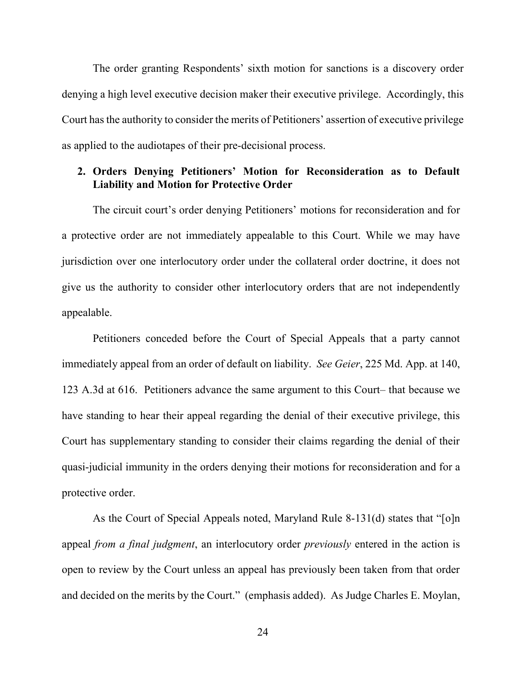The order granting Respondents' sixth motion for sanctions is a discovery order denying a high level executive decision maker their executive privilege. Accordingly, this Court has the authority to consider the merits of Petitioners' assertion of executive privilege as applied to the audiotapes of their pre-decisional process.

## **2. Orders Denying Petitioners' Motion for Reconsideration as to Default Liability and Motion for Protective Order**

The circuit court's order denying Petitioners' motions for reconsideration and for a protective order are not immediately appealable to this Court. While we may have jurisdiction over one interlocutory order under the collateral order doctrine, it does not give us the authority to consider other interlocutory orders that are not independently appealable.

Petitioners conceded before the Court of Special Appeals that a party cannot immediately appeal from an order of default on liability. *See Geier*, 225 Md. App. at 140, 123 A.3d at 616. Petitioners advance the same argument to this Court– that because we have standing to hear their appeal regarding the denial of their executive privilege, this Court has supplementary standing to consider their claims regarding the denial of their quasi-judicial immunity in the orders denying their motions for reconsideration and for a protective order.

 As the Court of Special Appeals noted, Maryland Rule 8-131(d) states that "[o]n appeal *from a final judgment*, an interlocutory order *previously* entered in the action is open to review by the Court unless an appeal has previously been taken from that order and decided on the merits by the Court." (emphasis added). As Judge Charles E. Moylan,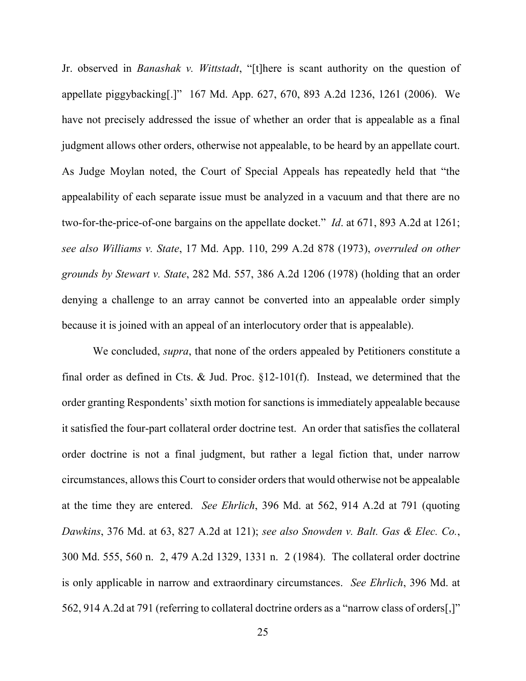Jr. observed in *Banashak v. Wittstadt*, "[t]here is scant authority on the question of appellate piggybacking[.]" 167 Md. App. 627, 670, 893 A.2d 1236, 1261 (2006). We have not precisely addressed the issue of whether an order that is appealable as a final judgment allows other orders, otherwise not appealable, to be heard by an appellate court. As Judge Moylan noted, the Court of Special Appeals has repeatedly held that "the appealability of each separate issue must be analyzed in a vacuum and that there are no two-for-the-price-of-one bargains on the appellate docket." *Id*. at 671, 893 A.2d at 1261; *see also Williams v. State*, 17 Md. App. 110, 299 A.2d 878 (1973), *overruled on other grounds by Stewart v. State*, 282 Md. 557, 386 A.2d 1206 (1978) (holding that an order denying a challenge to an array cannot be converted into an appealable order simply because it is joined with an appeal of an interlocutory order that is appealable).

We concluded, *supra*, that none of the orders appealed by Petitioners constitute a final order as defined in Cts.  $&$  Jud. Proc.  $\S 12{\text -}101(f)$ . Instead, we determined that the order granting Respondents' sixth motion for sanctions is immediately appealable because it satisfied the four-part collateral order doctrine test. An order that satisfies the collateral order doctrine is not a final judgment, but rather a legal fiction that, under narrow circumstances, allows this Court to consider orders that would otherwise not be appealable at the time they are entered. *See Ehrlich*, 396 Md. at 562, 914 A.2d at 791 (quoting *Dawkins*, 376 Md. at 63, 827 A.2d at 121); *see also Snowden v. Balt. Gas & Elec. Co.*, 300 Md. 555, 560 n. 2, 479 A.2d 1329, 1331 n. 2 (1984). The collateral order doctrine is only applicable in narrow and extraordinary circumstances. *See Ehrlich*, 396 Md. at 562, 914 A.2d at 791 (referring to collateral doctrine orders as a "narrow class of orders[,]"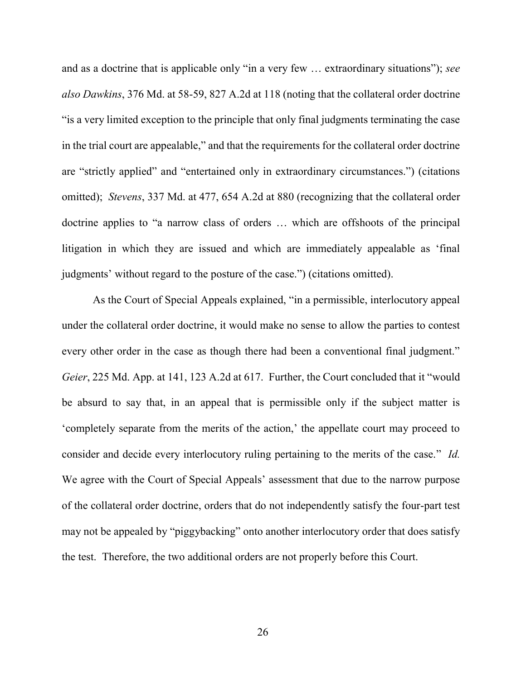and as a doctrine that is applicable only "in a very few … extraordinary situations"); *see also Dawkins*, 376 Md. at 58-59, 827 A.2d at 118 (noting that the collateral order doctrine "is a very limited exception to the principle that only final judgments terminating the case in the trial court are appealable," and that the requirements for the collateral order doctrine are "strictly applied" and "entertained only in extraordinary circumstances.") (citations omitted); *Stevens*, 337 Md. at 477, 654 A.2d at 880 (recognizing that the collateral order doctrine applies to "a narrow class of orders … which are offshoots of the principal litigation in which they are issued and which are immediately appealable as 'final judgments' without regard to the posture of the case.") (citations omitted).

As the Court of Special Appeals explained, "in a permissible, interlocutory appeal under the collateral order doctrine, it would make no sense to allow the parties to contest every other order in the case as though there had been a conventional final judgment." *Geier*, 225 Md. App. at 141, 123 A.2d at 617. Further, the Court concluded that it "would be absurd to say that, in an appeal that is permissible only if the subject matter is 'completely separate from the merits of the action,' the appellate court may proceed to consider and decide every interlocutory ruling pertaining to the merits of the case." *Id.* We agree with the Court of Special Appeals' assessment that due to the narrow purpose of the collateral order doctrine, orders that do not independently satisfy the four-part test may not be appealed by "piggybacking" onto another interlocutory order that does satisfy the test. Therefore, the two additional orders are not properly before this Court.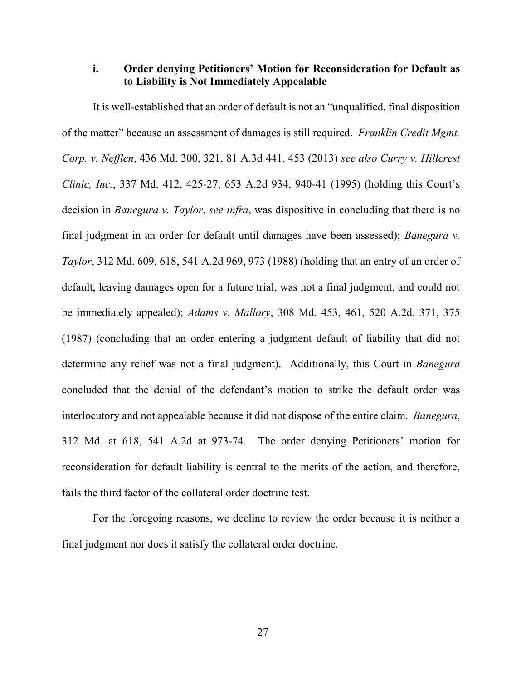## **i. Order denying Petitioners' Motion for Reconsideration for Default as to Liability is Not Immediately Appealable**

It is well-established that an order of default is not an "unqualified, final disposition of the matter" because an assessment of damages is still required. *Franklin Credit Mgmt. Corp. v. Nefflen*, 436 Md. 300, 321, 81 A.3d 441, 453 (2013) *see also Curry v. Hillcrest Clinic, Inc.*, 337 Md. 412, 425-27, 653 A.2d 934, 940-41 (1995) (holding this Court's decision in *Banegura v. Taylor*, *see infra*, was dispositive in concluding that there is no final judgment in an order for default until damages have been assessed); *Banegura v. Taylor*, 312 Md. 609, 618, 541 A.2d 969, 973 (1988) (holding that an entry of an order of default, leaving damages open for a future trial, was not a final judgment, and could not be immediately appealed); *Adams v. Mallory*, 308 Md. 453, 461, 520 A.2d. 371, 375 (1987) (concluding that an order entering a judgment default of liability that did not determine any relief was not a final judgment). Additionally, this Court in *Banegura* concluded that the denial of the defendant's motion to strike the default order was interlocutory and not appealable because it did not dispose of the entire claim. *Banegura*, 312 Md. at 618, 541 A.2d at 973-74. The order denying Petitioners' motion for reconsideration for default liability is central to the merits of the action, and therefore, fails the third factor of the collateral order doctrine test.

For the foregoing reasons, we decline to review the order because it is neither a final judgment nor does it satisfy the collateral order doctrine.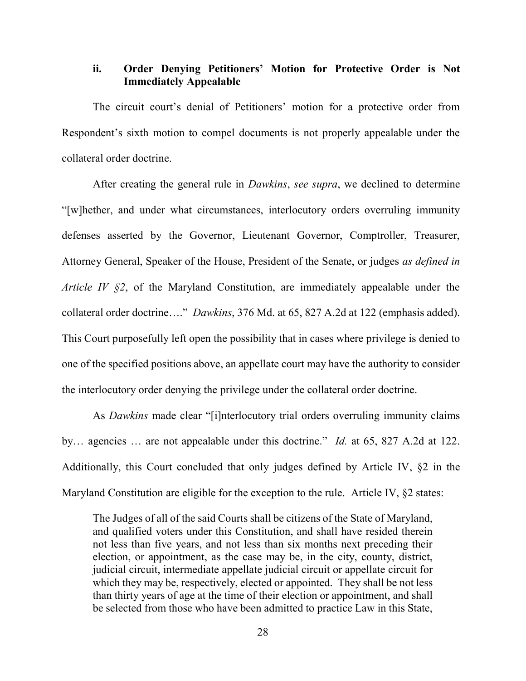# **ii. Order Denying Petitioners' Motion for Protective Order is Not Immediately Appealable**

The circuit court's denial of Petitioners' motion for a protective order from Respondent's sixth motion to compel documents is not properly appealable under the collateral order doctrine.

After creating the general rule in *Dawkins*, *see supra*, we declined to determine "[w]hether, and under what circumstances, interlocutory orders overruling immunity defenses asserted by the Governor, Lieutenant Governor, Comptroller, Treasurer, Attorney General, Speaker of the House, President of the Senate, or judges *as defined in Article IV §2*, of the Maryland Constitution, are immediately appealable under the collateral order doctrine…." *Dawkins*, 376 Md. at 65, 827 A.2d at 122 (emphasis added). This Court purposefully left open the possibility that in cases where privilege is denied to one of the specified positions above, an appellate court may have the authority to consider the interlocutory order denying the privilege under the collateral order doctrine.

As *Dawkins* made clear "[i]nterlocutory trial orders overruling immunity claims by… agencies … are not appealable under this doctrine." *Id.* at 65, 827 A.2d at 122. Additionally, this Court concluded that only judges defined by Article IV, §2 in the Maryland Constitution are eligible for the exception to the rule. Article IV, §2 states:

The Judges of all of the said Courts shall be citizens of the State of Maryland, and qualified voters under this Constitution, and shall have resided therein not less than five years, and not less than six months next preceding their election, or appointment, as the case may be, in the city, county, district, judicial circuit, intermediate appellate judicial circuit or appellate circuit for which they may be, respectively, elected or appointed. They shall be not less than thirty years of age at the time of their election or appointment, and shall be selected from those who have been admitted to practice Law in this State,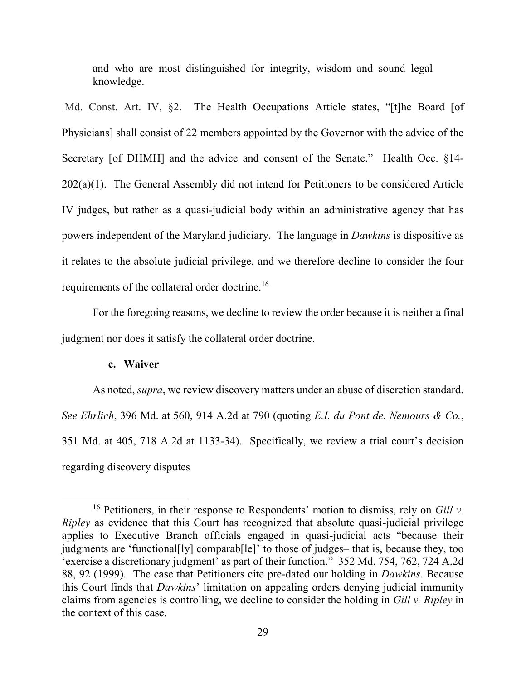and who are most distinguished for integrity, wisdom and sound legal knowledge.

Md. Const. Art. IV, §2. The Health Occupations Article states, "[t]he Board [of Physicians] shall consist of 22 members appointed by the Governor with the advice of the Secretary [of DHMH] and the advice and consent of the Senate." Health Occ. §14-  $202(a)(1)$ . The General Assembly did not intend for Petitioners to be considered Article IV judges, but rather as a quasi-judicial body within an administrative agency that has powers independent of the Maryland judiciary. The language in *Dawkins* is dispositive as it relates to the absolute judicial privilege, and we therefore decline to consider the four requirements of the collateral order doctrine.<sup>16</sup>

 For the foregoing reasons, we decline to review the order because it is neither a final judgment nor does it satisfy the collateral order doctrine.

#### **c. Waiver**

 $\overline{a}$ 

 As noted, *supra*, we review discovery matters under an abuse of discretion standard. *See Ehrlich*, 396 Md. at 560, 914 A.2d at 790 (quoting *E.I. du Pont de. Nemours & Co.*, 351 Md. at 405, 718 A.2d at 1133-34). Specifically, we review a trial court's decision regarding discovery disputes

<sup>16</sup> Petitioners, in their response to Respondents' motion to dismiss, rely on *Gill v. Ripley* as evidence that this Court has recognized that absolute quasi-judicial privilege applies to Executive Branch officials engaged in quasi-judicial acts "because their judgments are 'functional[ly] comparab[le]' to those of judges– that is, because they, too 'exercise a discretionary judgment' as part of their function." 352 Md. 754, 762, 724 A.2d 88, 92 (1999). The case that Petitioners cite pre-dated our holding in *Dawkins*. Because this Court finds that *Dawkins*' limitation on appealing orders denying judicial immunity claims from agencies is controlling, we decline to consider the holding in *Gill v. Ripley* in the context of this case.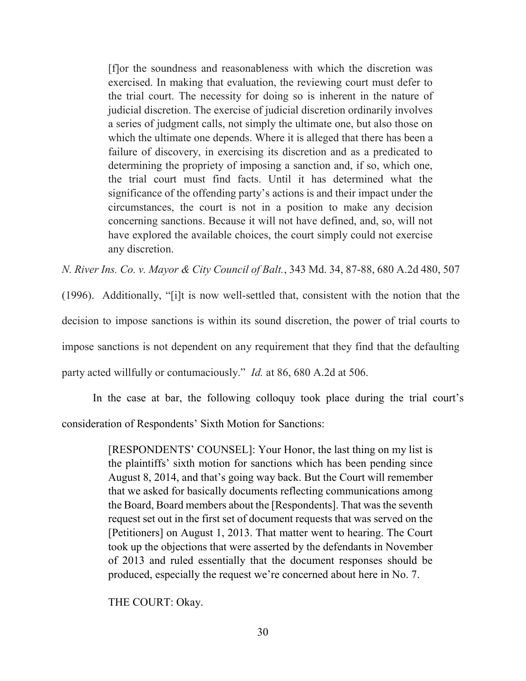[f]or the soundness and reasonableness with which the discretion was exercised. In making that evaluation, the reviewing court must defer to the trial court. The necessity for doing so is inherent in the nature of judicial discretion. The exercise of judicial discretion ordinarily involves a series of judgment calls, not simply the ultimate one, but also those on which the ultimate one depends. Where it is alleged that there has been a failure of discovery, in exercising its discretion and as a predicated to determining the propriety of imposing a sanction and, if so, which one, the trial court must find facts. Until it has determined what the significance of the offending party's actions is and their impact under the circumstances, the court is not in a position to make any decision concerning sanctions. Because it will not have defined, and, so, will not have explored the available choices, the court simply could not exercise any discretion.

*N. River Ins. Co. v. Mayor & City Council of Balt.*, 343 Md. 34, 87-88, 680 A.2d 480, 507

(1996). Additionally, "[i]t is now well-settled that, consistent with the notion that the decision to impose sanctions is within its sound discretion, the power of trial courts to impose sanctions is not dependent on any requirement that they find that the defaulting party acted willfully or contumaciously." *Id.* at 86, 680 A.2d at 506.

 In the case at bar, the following colloquy took place during the trial court's consideration of Respondents' Sixth Motion for Sanctions:

> [RESPONDENTS' COUNSEL]: Your Honor, the last thing on my list is the plaintiffs' sixth motion for sanctions which has been pending since August 8, 2014, and that's going way back. But the Court will remember that we asked for basically documents reflecting communications among the Board, Board members about the [Respondents]. That was the seventh request set out in the first set of document requests that was served on the [Petitioners] on August 1, 2013. That matter went to hearing. The Court took up the objections that were asserted by the defendants in November of 2013 and ruled essentially that the document responses should be produced, especially the request we're concerned about here in No. 7.

THE COURT: Okay.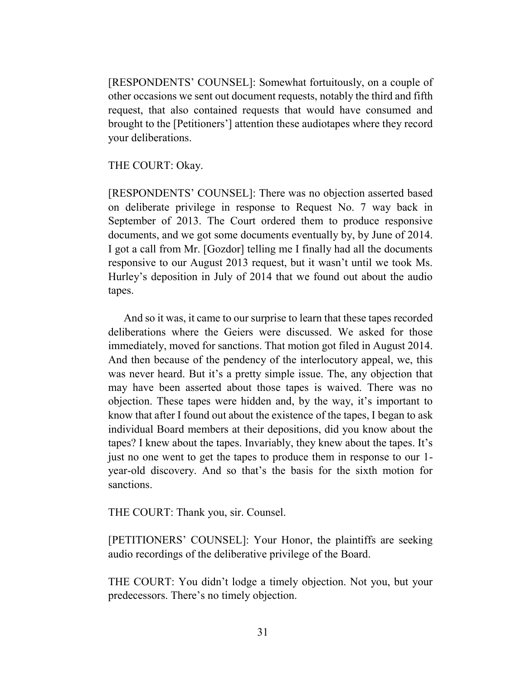[RESPONDENTS' COUNSEL]: Somewhat fortuitously, on a couple of other occasions we sent out document requests, notably the third and fifth request, that also contained requests that would have consumed and brought to the [Petitioners'] attention these audiotapes where they record your deliberations.

THE COURT: Okay.

[RESPONDENTS' COUNSEL]: There was no objection asserted based on deliberate privilege in response to Request No. 7 way back in September of 2013. The Court ordered them to produce responsive documents, and we got some documents eventually by, by June of 2014. I got a call from Mr. [Gozdor] telling me I finally had all the documents responsive to our August 2013 request, but it wasn't until we took Ms. Hurley's deposition in July of 2014 that we found out about the audio tapes.

 And so it was, it came to our surprise to learn that these tapes recorded deliberations where the Geiers were discussed. We asked for those immediately, moved for sanctions. That motion got filed in August 2014. And then because of the pendency of the interlocutory appeal, we, this was never heard. But it's a pretty simple issue. The, any objection that may have been asserted about those tapes is waived. There was no objection. These tapes were hidden and, by the way, it's important to know that after I found out about the existence of the tapes, I began to ask individual Board members at their depositions, did you know about the tapes? I knew about the tapes. Invariably, they knew about the tapes. It's just no one went to get the tapes to produce them in response to our 1 year-old discovery. And so that's the basis for the sixth motion for sanctions.

THE COURT: Thank you, sir. Counsel.

[PETITIONERS' COUNSEL]: Your Honor, the plaintiffs are seeking audio recordings of the deliberative privilege of the Board.

THE COURT: You didn't lodge a timely objection. Not you, but your predecessors. There's no timely objection.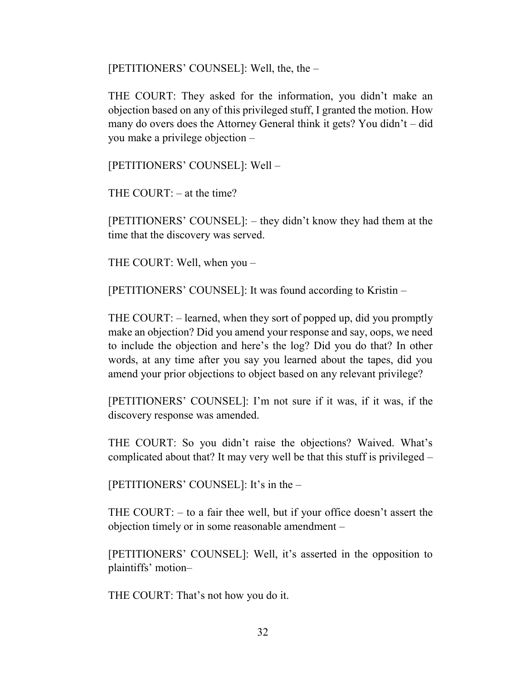[PETITIONERS' COUNSEL]: Well, the, the –

THE COURT: They asked for the information, you didn't make an objection based on any of this privileged stuff, I granted the motion. How many do overs does the Attorney General think it gets? You didn't – did you make a privilege objection –

[PETITIONERS' COUNSEL]: Well –

THE COURT:  $-$  at the time?

[PETITIONERS' COUNSEL]: – they didn't know they had them at the time that the discovery was served.

THE COURT: Well, when you –

[PETITIONERS' COUNSEL]: It was found according to Kristin –

THE COURT: – learned, when they sort of popped up, did you promptly make an objection? Did you amend your response and say, oops, we need to include the objection and here's the log? Did you do that? In other words, at any time after you say you learned about the tapes, did you amend your prior objections to object based on any relevant privilege?

[PETITIONERS' COUNSEL]: I'm not sure if it was, if it was, if the discovery response was amended.

THE COURT: So you didn't raise the objections? Waived. What's complicated about that? It may very well be that this stuff is privileged –

[PETITIONERS' COUNSEL]: It's in the –

THE COURT: – to a fair thee well, but if your office doesn't assert the objection timely or in some reasonable amendment –

[PETITIONERS' COUNSEL]: Well, it's asserted in the opposition to plaintiffs' motion–

THE COURT: That's not how you do it.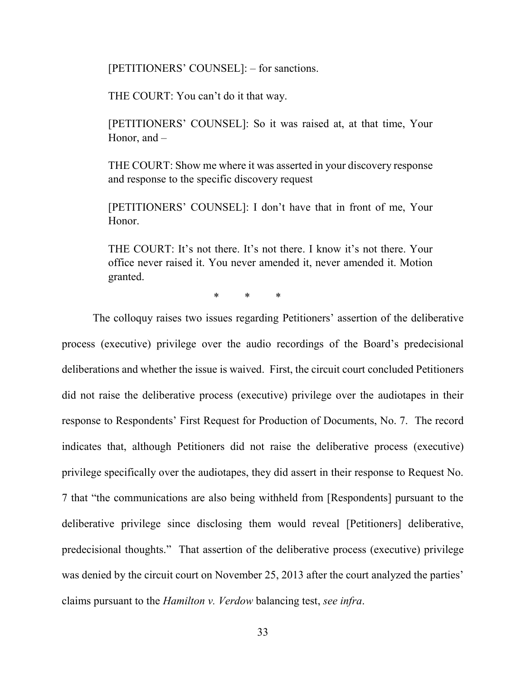[PETITIONERS' COUNSEL]: – for sanctions.

THE COURT: You can't do it that way.

[PETITIONERS' COUNSEL]: So it was raised at, at that time, Your Honor, and –

THE COURT: Show me where it was asserted in your discovery response and response to the specific discovery request

[PETITIONERS' COUNSEL]: I don't have that in front of me, Your Honor.

THE COURT: It's not there. It's not there. I know it's not there. Your office never raised it. You never amended it, never amended it. Motion granted.

\* \* \*

 The colloquy raises two issues regarding Petitioners' assertion of the deliberative process (executive) privilege over the audio recordings of the Board's predecisional deliberations and whether the issue is waived. First, the circuit court concluded Petitioners did not raise the deliberative process (executive) privilege over the audiotapes in their response to Respondents' First Request for Production of Documents, No. 7. The record indicates that, although Petitioners did not raise the deliberative process (executive) privilege specifically over the audiotapes, they did assert in their response to Request No. 7 that "the communications are also being withheld from [Respondents] pursuant to the deliberative privilege since disclosing them would reveal [Petitioners] deliberative, predecisional thoughts." That assertion of the deliberative process (executive) privilege was denied by the circuit court on November 25, 2013 after the court analyzed the parties' claims pursuant to the *Hamilton v. Verdow* balancing test, *see infra*.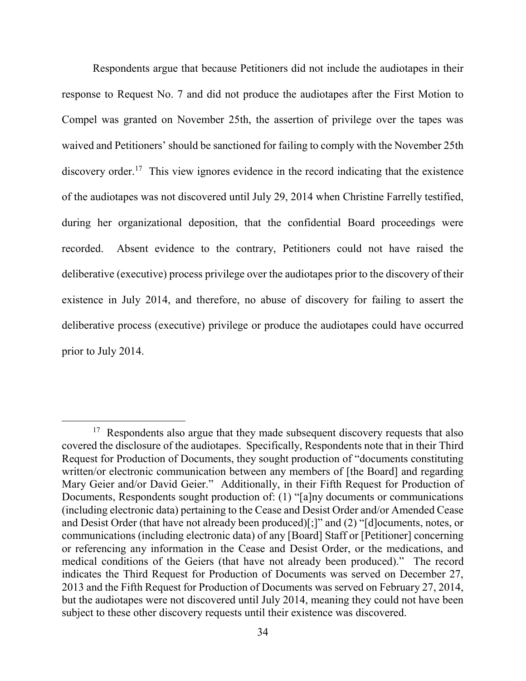Respondents argue that because Petitioners did not include the audiotapes in their response to Request No. 7 and did not produce the audiotapes after the First Motion to Compel was granted on November 25th, the assertion of privilege over the tapes was waived and Petitioners' should be sanctioned for failing to comply with the November 25th discovery order.<sup>17</sup> This view ignores evidence in the record indicating that the existence of the audiotapes was not discovered until July 29, 2014 when Christine Farrelly testified, during her organizational deposition, that the confidential Board proceedings were recorded. Absent evidence to the contrary, Petitioners could not have raised the deliberative (executive) process privilege over the audiotapes prior to the discovery of their existence in July 2014, and therefore, no abuse of discovery for failing to assert the deliberative process (executive) privilege or produce the audiotapes could have occurred prior to July 2014.

<sup>&</sup>lt;sup>17</sup> Respondents also argue that they made subsequent discovery requests that also covered the disclosure of the audiotapes. Specifically, Respondents note that in their Third Request for Production of Documents, they sought production of "documents constituting written/or electronic communication between any members of [the Board] and regarding Mary Geier and/or David Geier." Additionally, in their Fifth Request for Production of Documents, Respondents sought production of: (1) "[a]ny documents or communications (including electronic data) pertaining to the Cease and Desist Order and/or Amended Cease and Desist Order (that have not already been produced)[;]" and (2) "[d]ocuments, notes, or communications (including electronic data) of any [Board] Staff or [Petitioner] concerning or referencing any information in the Cease and Desist Order, or the medications, and medical conditions of the Geiers (that have not already been produced)." The record indicates the Third Request for Production of Documents was served on December 27, 2013 and the Fifth Request for Production of Documents was served on February 27, 2014, but the audiotapes were not discovered until July 2014, meaning they could not have been subject to these other discovery requests until their existence was discovered.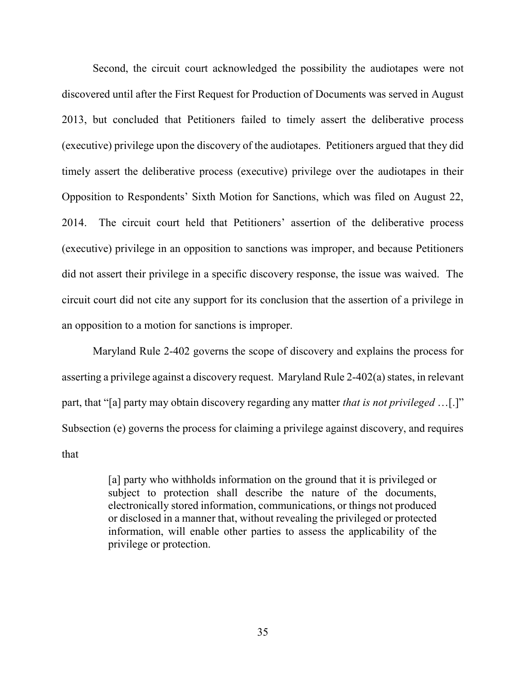Second, the circuit court acknowledged the possibility the audiotapes were not discovered until after the First Request for Production of Documents was served in August 2013, but concluded that Petitioners failed to timely assert the deliberative process (executive) privilege upon the discovery of the audiotapes. Petitioners argued that they did timely assert the deliberative process (executive) privilege over the audiotapes in their Opposition to Respondents' Sixth Motion for Sanctions, which was filed on August 22, 2014. The circuit court held that Petitioners' assertion of the deliberative process (executive) privilege in an opposition to sanctions was improper, and because Petitioners did not assert their privilege in a specific discovery response, the issue was waived. The circuit court did not cite any support for its conclusion that the assertion of a privilege in an opposition to a motion for sanctions is improper.

 Maryland Rule 2-402 governs the scope of discovery and explains the process for asserting a privilege against a discovery request. Maryland Rule 2-402(a) states, in relevant part, that "[a] party may obtain discovery regarding any matter *that is not privileged* …[.]" Subsection (e) governs the process for claiming a privilege against discovery, and requires that

> [a] party who withholds information on the ground that it is privileged or subject to protection shall describe the nature of the documents, electronically stored information, communications, or things not produced or disclosed in a manner that, without revealing the privileged or protected information, will enable other parties to assess the applicability of the privilege or protection.

> > 35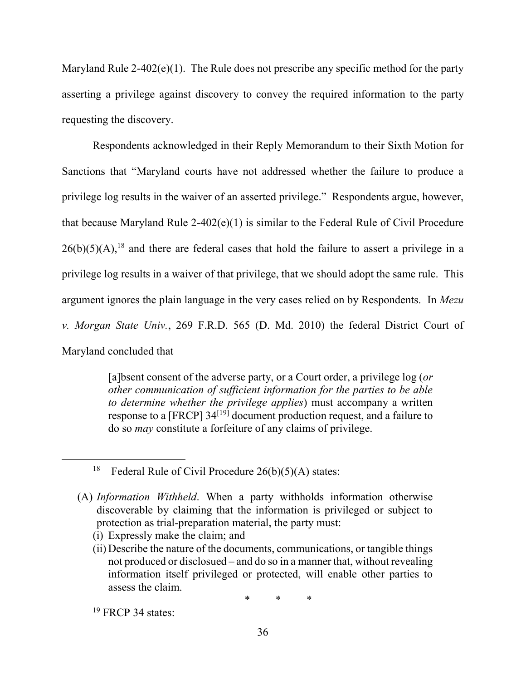Maryland Rule  $2-402(e)(1)$ . The Rule does not prescribe any specific method for the party asserting a privilege against discovery to convey the required information to the party requesting the discovery.

 Respondents acknowledged in their Reply Memorandum to their Sixth Motion for Sanctions that "Maryland courts have not addressed whether the failure to produce a privilege log results in the waiver of an asserted privilege." Respondents argue, however, that because Maryland Rule 2-402(e)(1) is similar to the Federal Rule of Civil Procedure  $26(b)(5)(A)$ ,<sup>18</sup> and there are federal cases that hold the failure to assert a privilege in a privilege log results in a waiver of that privilege, that we should adopt the same rule. This argument ignores the plain language in the very cases relied on by Respondents. In *Mezu v. Morgan State Univ.*, 269 F.R.D. 565 (D. Md. 2010) the federal District Court of Maryland concluded that

> [a]bsent consent of the adverse party, or a Court order, a privilege log (*or other communication of sufficient information for the parties to be able to determine whether the privilege applies*) must accompany a written response to a [FRCP]  $34^{[19]}$  document production request, and a failure to do so *may* constitute a forfeiture of any claims of privilege.

(i) Expressly make the claim; and

<sup>&</sup>lt;sup>18</sup> Federal Rule of Civil Procedure  $26(b)(5)(A)$  states:

<sup>(</sup>A) *Information Withheld*. When a party withholds information otherwise discoverable by claiming that the information is privileged or subject to protection as trial-preparation material, the party must:

<sup>(</sup>ii) Describe the nature of the documents, communications, or tangible things not produced or disclosued – and do so in a manner that, without revealing information itself privileged or protected, will enable other parties to assess the claim.

<sup>\* \* \*</sup> 

 $19$  FRCP 34 states: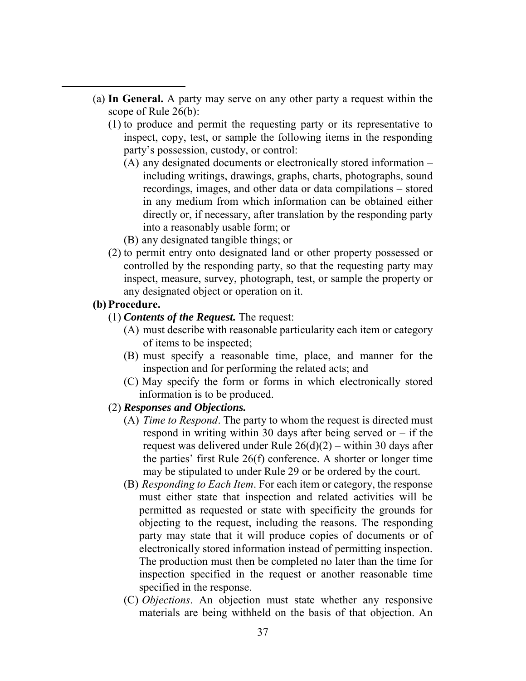- (a) **In General.** A party may serve on any other party a request within the scope of Rule 26(b):
	- (1) to produce and permit the requesting party or its representative to inspect, copy, test, or sample the following items in the responding party's possession, custody, or control:
		- (A) any designated documents or electronically stored information including writings, drawings, graphs, charts, photographs, sound recordings, images, and other data or data compilations – stored in any medium from which information can be obtained either directly or, if necessary, after translation by the responding party into a reasonably usable form; or
		- (B) any designated tangible things; or
	- (2) to permit entry onto designated land or other property possessed or controlled by the responding party, so that the requesting party may inspect, measure, survey, photograph, test, or sample the property or any designated object or operation on it.

## **(b) Procedure.**

 $\overline{a}$ 

- (1) *Contents of the Request.* The request:
	- (A) must describe with reasonable particularity each item or category of items to be inspected;
	- (B) must specify a reasonable time, place, and manner for the inspection and for performing the related acts; and
	- (C) May specify the form or forms in which electronically stored information is to be produced.

## (2) *Responses and Objections.*

- (A) *Time to Respond*. The party to whom the request is directed must respond in writing within 30 days after being served or  $-$  if the request was delivered under Rule  $26(d)(2)$  – within 30 days after the parties' first Rule 26(f) conference. A shorter or longer time may be stipulated to under Rule 29 or be ordered by the court.
- (B) *Responding to Each Item*. For each item or category, the response must either state that inspection and related activities will be permitted as requested or state with specificity the grounds for objecting to the request, including the reasons. The responding party may state that it will produce copies of documents or of electronically stored information instead of permitting inspection. The production must then be completed no later than the time for inspection specified in the request or another reasonable time specified in the response.
- (C) *Objections*. An objection must state whether any responsive materials are being withheld on the basis of that objection. An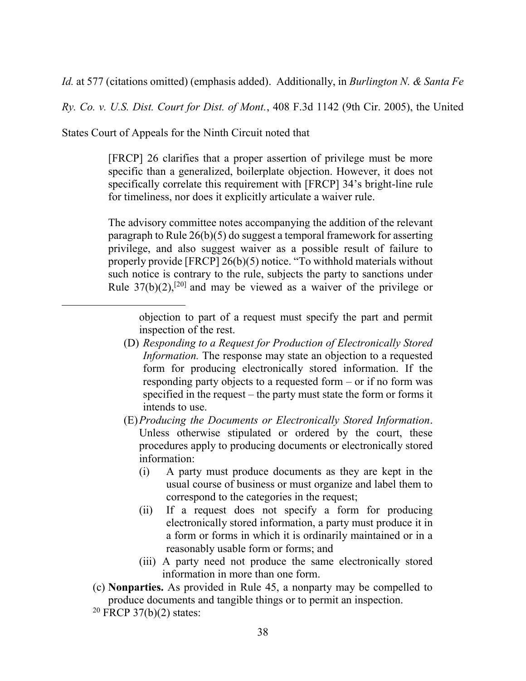*Id.* at 577 (citations omitted) (emphasis added). Additionally, in *Burlington N. & Santa Fe* 

*Ry. Co. v. U.S. Dist. Court for Dist. of Mont.*, 408 F.3d 1142 (9th Cir. 2005), the United

States Court of Appeals for the Ninth Circuit noted that

[FRCP] 26 clarifies that a proper assertion of privilege must be more specific than a generalized, boilerplate objection. However, it does not specifically correlate this requirement with [FRCP] 34's bright-line rule for timeliness, nor does it explicitly articulate a waiver rule.

The advisory committee notes accompanying the addition of the relevant paragraph to Rule 26(b)(5) do suggest a temporal framework for asserting privilege, and also suggest waiver as a possible result of failure to properly provide [FRCP] 26(b)(5) notice. "To withhold materials without such notice is contrary to the rule, subjects the party to sanctions under Rule  $37(b)(2)$ ,<sup>[20]</sup> and may be viewed as a waiver of the privilege or

objection to part of a request must specify the part and permit inspection of the rest.

- (D) *Responding to a Request for Production of Electronically Stored Information.* The response may state an objection to a requested form for producing electronically stored information. If the responding party objects to a requested form – or if no form was specified in the request – the party must state the form or forms it intends to use.
- (E)*Producing the Documents or Electronically Stored Information*. Unless otherwise stipulated or ordered by the court, these procedures apply to producing documents or electronically stored information:
	- (i) A party must produce documents as they are kept in the usual course of business or must organize and label them to correspond to the categories in the request;
	- (ii) If a request does not specify a form for producing electronically stored information, a party must produce it in a form or forms in which it is ordinarily maintained or in a reasonably usable form or forms; and
	- (iii) A party need not produce the same electronically stored information in more than one form.
- (c) **Nonparties.** As provided in Rule 45, a nonparty may be compelled to produce documents and tangible things or to permit an inspection.

 $20$  FRCP 37(b)(2) states: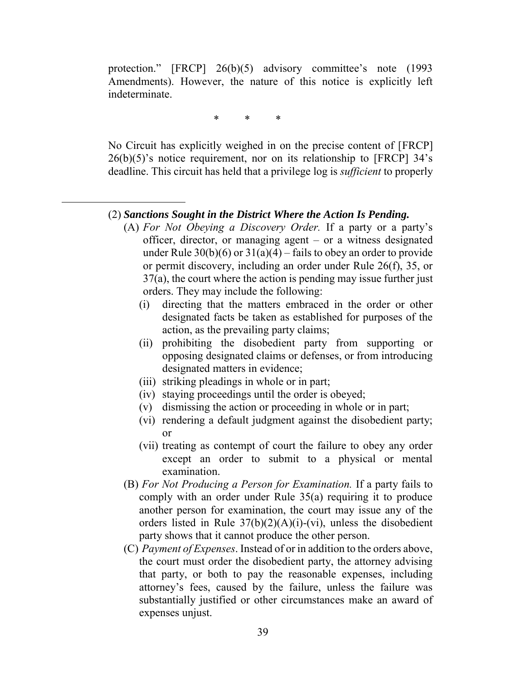protection." [FRCP] 26(b)(5) advisory committee's note (1993 Amendments). However, the nature of this notice is explicitly left indeterminate.

\* \* \*

No Circuit has explicitly weighed in on the precise content of [FRCP]  $26(b)(5)$ 's notice requirement, nor on its relationship to [FRCP]  $34$ 's deadline. This circuit has held that a privilege log is *sufficient* to properly

### (2) *Sanctions Sought in the District Where the Action Is Pending.*

- (A) *For Not Obeying a Discovery Order.* If a party or a party's officer, director, or managing agent – or a witness designated under Rule  $30(b)(6)$  or  $31(a)(4)$  – fails to obey an order to provide or permit discovery, including an order under Rule 26(f), 35, or 37(a), the court where the action is pending may issue further just orders. They may include the following:
	- (i) directing that the matters embraced in the order or other designated facts be taken as established for purposes of the action, as the prevailing party claims;
	- (ii) prohibiting the disobedient party from supporting or opposing designated claims or defenses, or from introducing designated matters in evidence;
	- (iii) striking pleadings in whole or in part;
	- (iv) staying proceedings until the order is obeyed;
	- (v) dismissing the action or proceeding in whole or in part;
	- (vi) rendering a default judgment against the disobedient party; or
	- (vii) treating as contempt of court the failure to obey any order except an order to submit to a physical or mental examination.
- (B) *For Not Producing a Person for Examination.* If a party fails to comply with an order under Rule 35(a) requiring it to produce another person for examination, the court may issue any of the orders listed in Rule  $37(b)(2)(A)(i)-(vi)$ , unless the disobedient party shows that it cannot produce the other person.
- (C) *Payment of Expenses*. Instead of or in addition to the orders above, the court must order the disobedient party, the attorney advising that party, or both to pay the reasonable expenses, including attorney's fees, caused by the failure, unless the failure was substantially justified or other circumstances make an award of expenses unjust.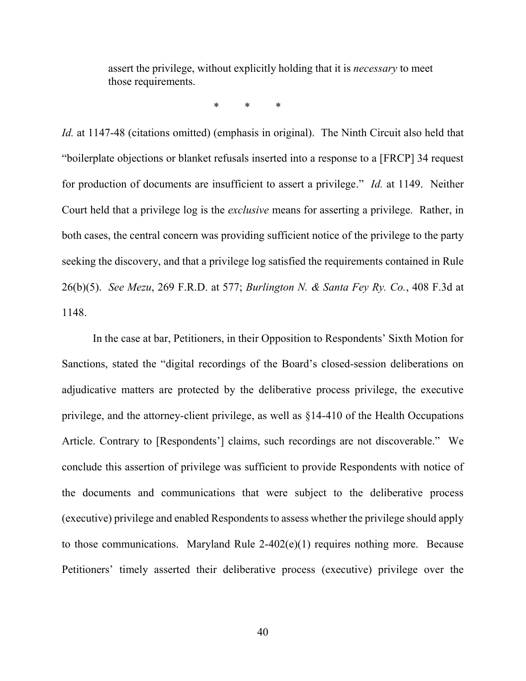assert the privilege, without explicitly holding that it is *necessary* to meet those requirements.

\* \* \*

*Id.* at 1147-48 (citations omitted) (emphasis in original). The Ninth Circuit also held that "boilerplate objections or blanket refusals inserted into a response to a [FRCP] 34 request for production of documents are insufficient to assert a privilege." *Id.* at 1149. Neither Court held that a privilege log is the *exclusive* means for asserting a privilege. Rather, in both cases, the central concern was providing sufficient notice of the privilege to the party seeking the discovery, and that a privilege log satisfied the requirements contained in Rule 26(b)(5). *See Mezu*, 269 F.R.D. at 577; *Burlington N. & Santa Fey Ry. Co.*, 408 F.3d at 1148.

 In the case at bar, Petitioners, in their Opposition to Respondents' Sixth Motion for Sanctions, stated the "digital recordings of the Board's closed-session deliberations on adjudicative matters are protected by the deliberative process privilege, the executive privilege, and the attorney-client privilege, as well as §14-410 of the Health Occupations Article. Contrary to [Respondents'] claims, such recordings are not discoverable." We conclude this assertion of privilege was sufficient to provide Respondents with notice of the documents and communications that were subject to the deliberative process (executive) privilege and enabled Respondents to assess whether the privilege should apply to those communications. Maryland Rule 2-402(e)(1) requires nothing more. Because Petitioners' timely asserted their deliberative process (executive) privilege over the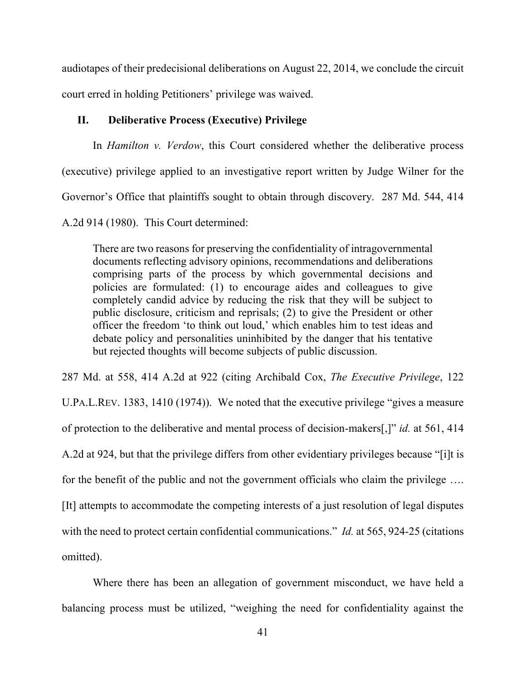audiotapes of their predecisional deliberations on August 22, 2014, we conclude the circuit court erred in holding Petitioners' privilege was waived.

## **II. Deliberative Process (Executive) Privilege**

In *Hamilton v. Verdow*, this Court considered whether the deliberative process (executive) privilege applied to an investigative report written by Judge Wilner for the Governor's Office that plaintiffs sought to obtain through discovery. 287 Md. 544, 414 A.2d 914 (1980). This Court determined:

There are two reasons for preserving the confidentiality of intragovernmental documents reflecting advisory opinions, recommendations and deliberations comprising parts of the process by which governmental decisions and policies are formulated: (1) to encourage aides and colleagues to give completely candid advice by reducing the risk that they will be subject to public disclosure, criticism and reprisals; (2) to give the President or other officer the freedom 'to think out loud,' which enables him to test ideas and debate policy and personalities uninhibited by the danger that his tentative but rejected thoughts will become subjects of public discussion.

287 Md. at 558, 414 A.2d at 922 (citing Archibald Cox, *The Executive Privilege*, 122 U.PA.L.REV. 1383, 1410 (1974)). We noted that the executive privilege "gives a measure of protection to the deliberative and mental process of decision-makers[,]" *id.* at 561, 414 A.2d at 924, but that the privilege differs from other evidentiary privileges because "[i]t is for the benefit of the public and not the government officials who claim the privilege …. [It] attempts to accommodate the competing interests of a just resolution of legal disputes with the need to protect certain confidential communications." *Id.* at 565, 924-25 (citations omitted).

Where there has been an allegation of government misconduct, we have held a balancing process must be utilized, "weighing the need for confidentiality against the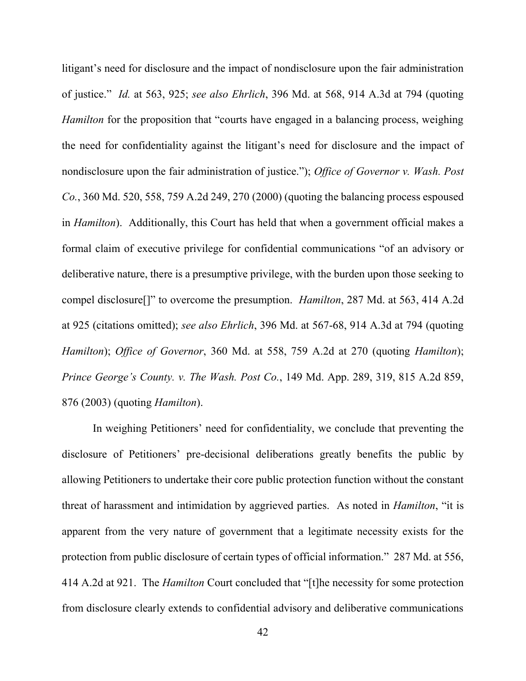litigant's need for disclosure and the impact of nondisclosure upon the fair administration of justice." *Id.* at 563, 925; *see also Ehrlich*, 396 Md. at 568, 914 A.3d at 794 (quoting *Hamilton* for the proposition that "courts have engaged in a balancing process, weighing the need for confidentiality against the litigant's need for disclosure and the impact of nondisclosure upon the fair administration of justice."); *Office of Governor v. Wash. Post Co.*, 360 Md. 520, 558, 759 A.2d 249, 270 (2000) (quoting the balancing process espoused in *Hamilton*). Additionally, this Court has held that when a government official makes a formal claim of executive privilege for confidential communications "of an advisory or deliberative nature, there is a presumptive privilege, with the burden upon those seeking to compel disclosure[]" to overcome the presumption. *Hamilton*, 287 Md. at 563, 414 A.2d at 925 (citations omitted); *see also Ehrlich*, 396 Md. at 567-68, 914 A.3d at 794 (quoting *Hamilton*); *Office of Governor*, 360 Md. at 558, 759 A.2d at 270 (quoting *Hamilton*); *Prince George's County. v. The Wash. Post Co.*, 149 Md. App. 289, 319, 815 A.2d 859, 876 (2003) (quoting *Hamilton*).

In weighing Petitioners' need for confidentiality, we conclude that preventing the disclosure of Petitioners' pre-decisional deliberations greatly benefits the public by allowing Petitioners to undertake their core public protection function without the constant threat of harassment and intimidation by aggrieved parties. As noted in *Hamilton*, "it is apparent from the very nature of government that a legitimate necessity exists for the protection from public disclosure of certain types of official information." 287 Md. at 556, 414 A.2d at 921. The *Hamilton* Court concluded that "[t]he necessity for some protection from disclosure clearly extends to confidential advisory and deliberative communications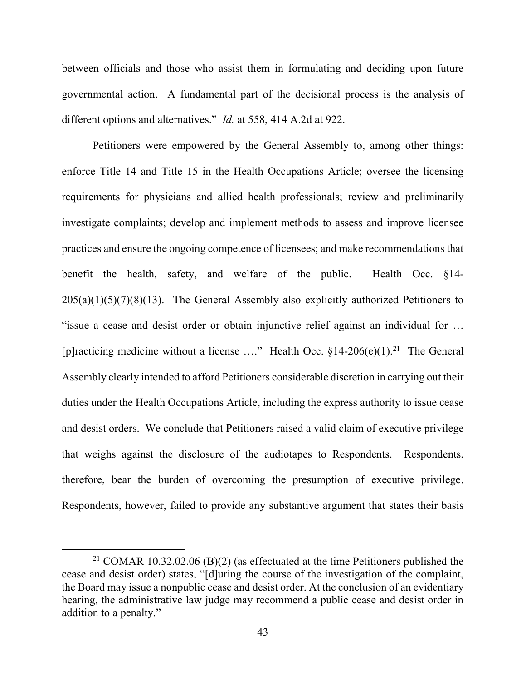between officials and those who assist them in formulating and deciding upon future governmental action. A fundamental part of the decisional process is the analysis of different options and alternatives." *Id.* at 558, 414 A.2d at 922.

Petitioners were empowered by the General Assembly to, among other things: enforce Title 14 and Title 15 in the Health Occupations Article; oversee the licensing requirements for physicians and allied health professionals; review and preliminarily investigate complaints; develop and implement methods to assess and improve licensee practices and ensure the ongoing competence of licensees; and make recommendations that benefit the health, safety, and welfare of the public. Health Occ. §14-  $205(a)(1)(5)(7)(8)(13)$ . The General Assembly also explicitly authorized Petitioners to "issue a cease and desist order or obtain injunctive relief against an individual for … [p]racticing medicine without a license ...." Health Occ.  $\S 14{\text -}206(e)(1)^{21}$  The General Assembly clearly intended to afford Petitioners considerable discretion in carrying out their duties under the Health Occupations Article, including the express authority to issue cease and desist orders. We conclude that Petitioners raised a valid claim of executive privilege that weighs against the disclosure of the audiotapes to Respondents. Respondents, therefore, bear the burden of overcoming the presumption of executive privilege. Respondents, however, failed to provide any substantive argument that states their basis

<sup>&</sup>lt;sup>21</sup> COMAR 10.32.02.06 (B)(2) (as effectuated at the time Petitioners published the cease and desist order) states, "[d]uring the course of the investigation of the complaint, the Board may issue a nonpublic cease and desist order. At the conclusion of an evidentiary hearing, the administrative law judge may recommend a public cease and desist order in addition to a penalty."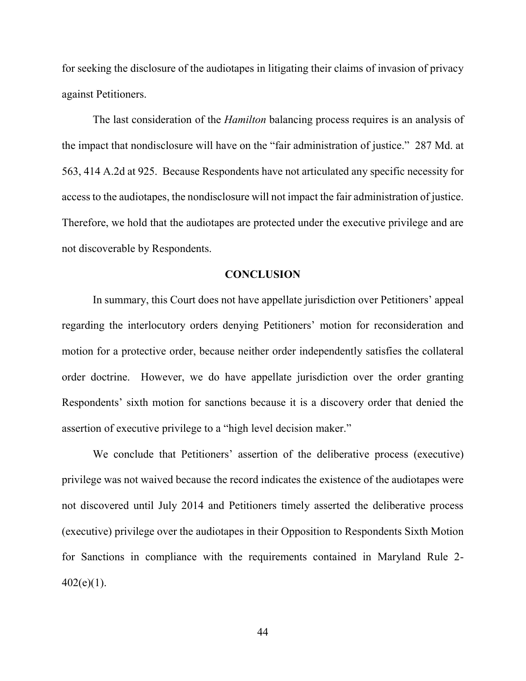for seeking the disclosure of the audiotapes in litigating their claims of invasion of privacy against Petitioners.

The last consideration of the *Hamilton* balancing process requires is an analysis of the impact that nondisclosure will have on the "fair administration of justice." 287 Md. at 563, 414 A.2d at 925. Because Respondents have not articulated any specific necessity for access to the audiotapes, the nondisclosure will not impact the fair administration of justice. Therefore, we hold that the audiotapes are protected under the executive privilege and are not discoverable by Respondents.

#### **CONCLUSION**

In summary, this Court does not have appellate jurisdiction over Petitioners' appeal regarding the interlocutory orders denying Petitioners' motion for reconsideration and motion for a protective order, because neither order independently satisfies the collateral order doctrine. However, we do have appellate jurisdiction over the order granting Respondents' sixth motion for sanctions because it is a discovery order that denied the assertion of executive privilege to a "high level decision maker."

We conclude that Petitioners' assertion of the deliberative process (executive) privilege was not waived because the record indicates the existence of the audiotapes were not discovered until July 2014 and Petitioners timely asserted the deliberative process (executive) privilege over the audiotapes in their Opposition to Respondents Sixth Motion for Sanctions in compliance with the requirements contained in Maryland Rule 2-  $402(e)(1)$ .

44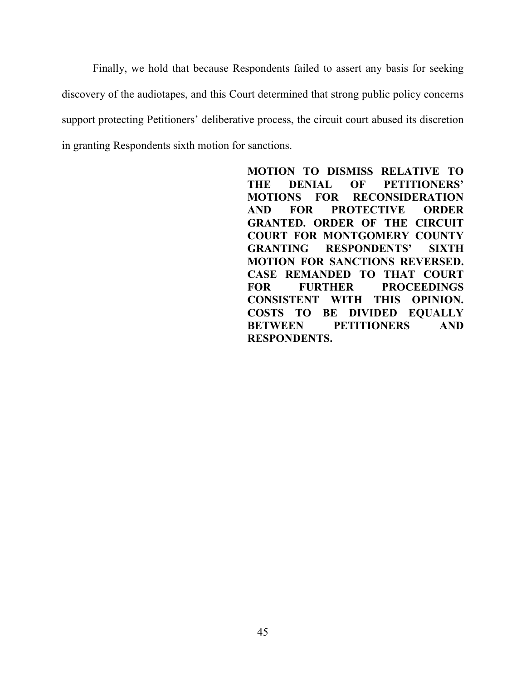Finally, we hold that because Respondents failed to assert any basis for seeking discovery of the audiotapes, and this Court determined that strong public policy concerns support protecting Petitioners' deliberative process, the circuit court abused its discretion in granting Respondents sixth motion for sanctions.

> **MOTION TO DISMISS RELATIVE TO THE DENIAL OF PETITIONERS' MOTIONS FOR RECONSIDERATION AND FOR PROTECTIVE ORDER GRANTED. ORDER OF THE CIRCUIT COURT FOR MONTGOMERY COUNTY GRANTING RESPONDENTS' SIXTH MOTION FOR SANCTIONS REVERSED. CASE REMANDED TO THAT COURT FOR FURTHER PROCEEDINGS CONSISTENT WITH THIS OPINION. COSTS TO BE DIVIDED EQUALLY BETWEEN PETITIONERS AND RESPONDENTS.**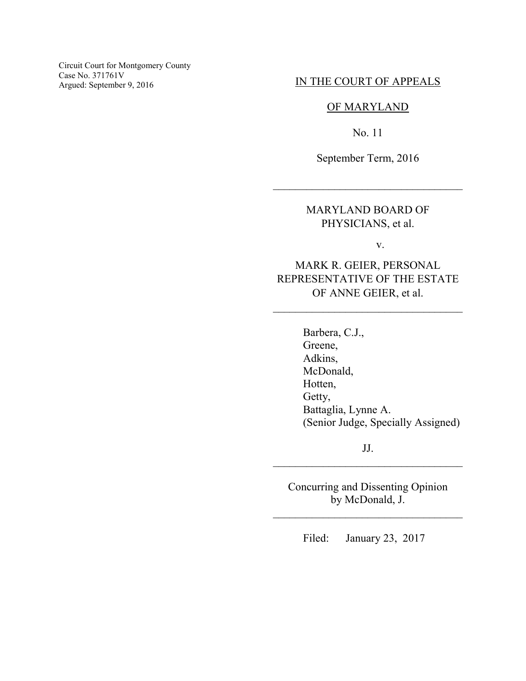Circuit Court for Montgomery County Case No. 371761V<br>Argued: September 9, 2016

## IN THE COURT OF APPEALS

### OF MARYLAND

No. 11

September Term, 2016

\_\_\_\_\_\_\_\_\_\_\_\_\_\_\_\_\_\_\_\_\_\_\_\_\_\_\_\_\_\_\_\_\_\_

## MARYLAND BOARD OF PHYSICIANS, et al.

v.

# MARK R. GEIER, PERSONAL REPRESENTATIVE OF THE ESTATE OF ANNE GEIER, et al.

\_\_\_\_\_\_\_\_\_\_\_\_\_\_\_\_\_\_\_\_\_\_\_\_\_\_\_\_\_\_\_\_\_\_

Barbera, C.J., Greene, Adkins, McDonald, Hotten, Getty, Battaglia, Lynne A. (Senior Judge, Specially Assigned)

JJ. \_\_\_\_\_\_\_\_\_\_\_\_\_\_\_\_\_\_\_\_\_\_\_\_\_\_\_\_\_\_\_\_\_\_

Concurring and Dissenting Opinion by McDonald, J.

\_\_\_\_\_\_\_\_\_\_\_\_\_\_\_\_\_\_\_\_\_\_\_\_\_\_\_\_\_\_\_\_\_\_

Filed: January 23, 2017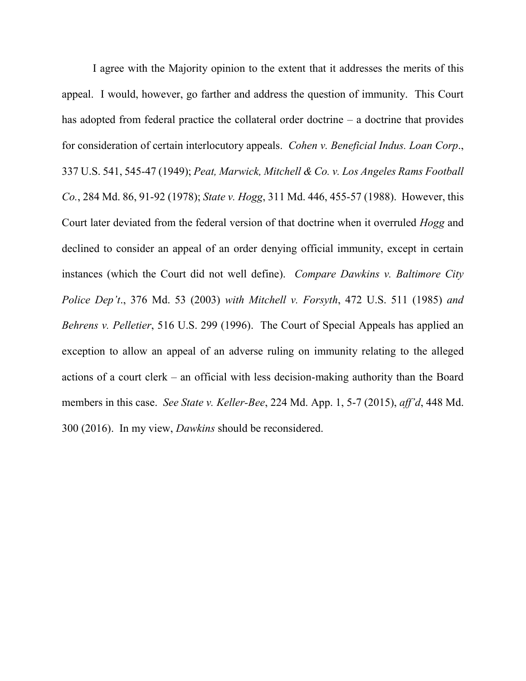I agree with the Majority opinion to the extent that it addresses the merits of this appeal. I would, however, go farther and address the question of immunity. This Court has adopted from federal practice the collateral order doctrine – a doctrine that provides for consideration of certain interlocutory appeals. *Cohen v. Beneficial Indus. Loan Corp*., 337 U.S. 541, 545-47 (1949); *Peat, Marwick, Mitchell & Co. v. Los Angeles Rams Football Co.*, 284 Md. 86, 91-92 (1978); *State v. Hogg*, 311 Md. 446, 455-57 (1988). However, this Court later deviated from the federal version of that doctrine when it overruled *Hogg* and declined to consider an appeal of an order denying official immunity, except in certain instances (which the Court did not well define). *Compare Dawkins v. Baltimore City Police Dep't*., 376 Md. 53 (2003) *with Mitchell v. Forsyth*, 472 U.S. 511 (1985) *and Behrens v. Pelletier*, 516 U.S. 299 (1996). The Court of Special Appeals has applied an exception to allow an appeal of an adverse ruling on immunity relating to the alleged actions of a court clerk – an official with less decision-making authority than the Board members in this case. *See State v. Keller-Bee*, 224 Md. App. 1, 5-7 (2015), *aff'd*, 448 Md. 300 (2016). In my view, *Dawkins* should be reconsidered.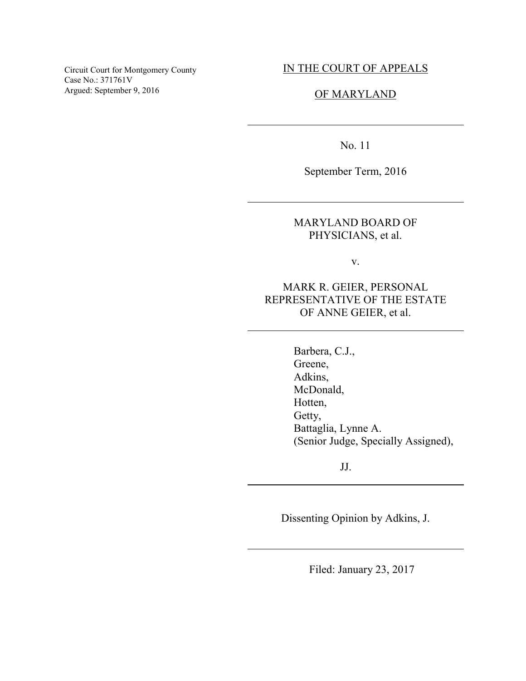Circuit Court for Montgomery County Case No.: 371761V Argued: September 9, 2016

### IN THE COURT OF APPEALS

### OF MARYLAND

No. 11

 $\overline{a}$ 

 $\overline{a}$ 

 $\overline{a}$ 

 $\overline{a}$ 

 $\overline{a}$ 

September Term, 2016

MARYLAND BOARD OF PHYSICIANS, et al.

v.

MARK R. GEIER, PERSONAL REPRESENTATIVE OF THE ESTATE OF ANNE GEIER, et al.

> Barbera, C.J., Greene, Adkins, McDonald, Hotten, Getty, Battaglia, Lynne A. (Senior Judge, Specially Assigned),

> > JJ.

Dissenting Opinion by Adkins, J.

Filed: January 23, 2017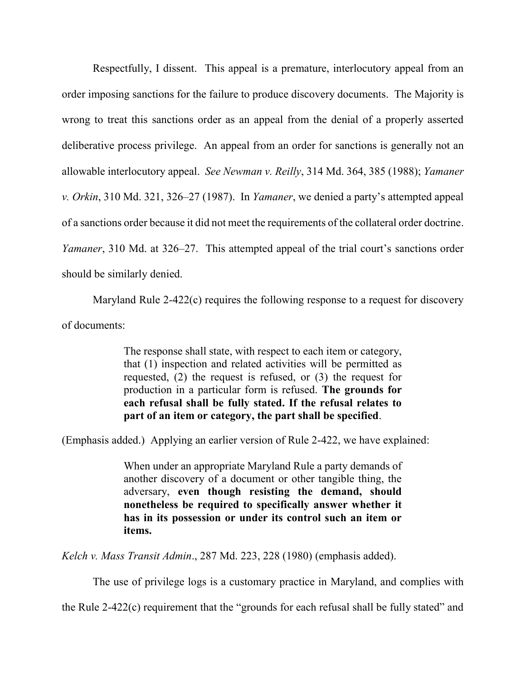Respectfully, I dissent. This appeal is a premature, interlocutory appeal from an order imposing sanctions for the failure to produce discovery documents. The Majority is wrong to treat this sanctions order as an appeal from the denial of a properly asserted deliberative process privilege. An appeal from an order for sanctions is generally not an allowable interlocutory appeal. *See Newman v. Reilly*, 314 Md. 364, 385 (1988); *Yamaner v. Orkin*, 310 Md. 321, 326–27 (1987). In *Yamaner*, we denied a party's attempted appeal of a sanctions order because it did not meet the requirements of the collateral order doctrine. *Yamaner*, 310 Md. at 326–27. This attempted appeal of the trial court's sanctions order should be similarly denied.

 Maryland Rule 2-422(c) requires the following response to a request for discovery of documents:

> The response shall state, with respect to each item or category, that (1) inspection and related activities will be permitted as requested, (2) the request is refused, or (3) the request for production in a particular form is refused. **The grounds for each refusal shall be fully stated. If the refusal relates to part of an item or category, the part shall be specified**.

(Emphasis added.) Applying an earlier version of Rule 2-422, we have explained:

When under an appropriate Maryland Rule a party demands of another discovery of a document or other tangible thing, the adversary, **even though resisting the demand, should nonetheless be required to specifically answer whether it has in its possession or under its control such an item or items.** 

*Kelch v. Mass Transit Admin*., 287 Md. 223, 228 (1980) (emphasis added).

The use of privilege logs is a customary practice in Maryland, and complies with

the Rule 2-422(c) requirement that the "grounds for each refusal shall be fully stated" and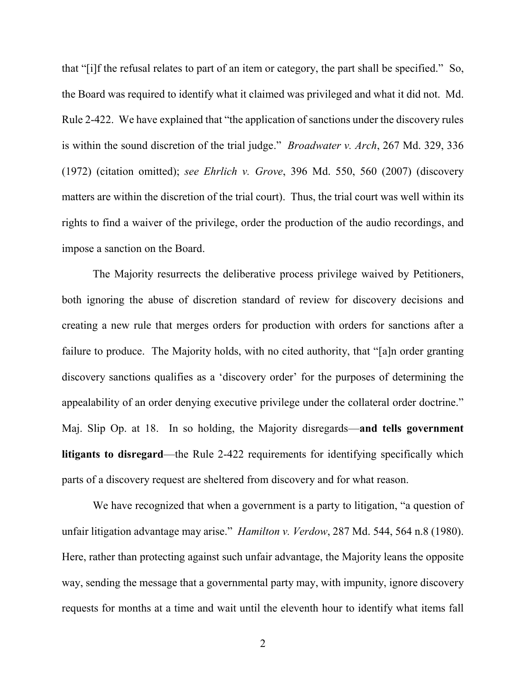that "[i]f the refusal relates to part of an item or category, the part shall be specified." So, the Board was required to identify what it claimed was privileged and what it did not. Md. Rule 2-422. We have explained that "the application of sanctions under the discovery rules is within the sound discretion of the trial judge." *Broadwater v. Arch*, 267 Md. 329, 336 (1972) (citation omitted); *see Ehrlich v. Grove*, 396 Md. 550, 560 (2007) (discovery matters are within the discretion of the trial court). Thus, the trial court was well within its rights to find a waiver of the privilege, order the production of the audio recordings, and impose a sanction on the Board.

The Majority resurrects the deliberative process privilege waived by Petitioners, both ignoring the abuse of discretion standard of review for discovery decisions and creating a new rule that merges orders for production with orders for sanctions after a failure to produce. The Majority holds, with no cited authority, that "[a]n order granting discovery sanctions qualifies as a 'discovery order' for the purposes of determining the appealability of an order denying executive privilege under the collateral order doctrine." Maj. Slip Op. at 18. In so holding, the Majority disregards—**and tells government litigants to disregard**—the Rule 2-422 requirements for identifying specifically which parts of a discovery request are sheltered from discovery and for what reason.

We have recognized that when a government is a party to litigation, "a question of unfair litigation advantage may arise." *Hamilton v. Verdow*, 287 Md. 544, 564 n.8 (1980). Here, rather than protecting against such unfair advantage, the Majority leans the opposite way, sending the message that a governmental party may, with impunity, ignore discovery requests for months at a time and wait until the eleventh hour to identify what items fall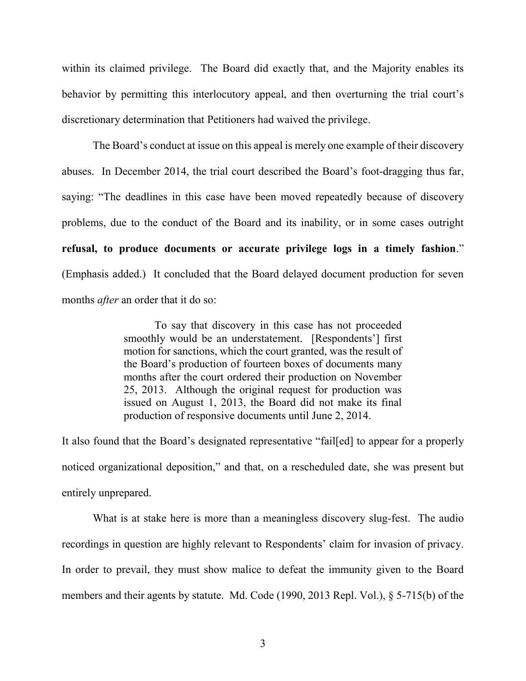within its claimed privilege. The Board did exactly that, and the Majority enables its behavior by permitting this interlocutory appeal, and then overturning the trial court's discretionary determination that Petitioners had waived the privilege.

The Board's conduct at issue on this appeal is merely one example of their discovery abuses. In December 2014, the trial court described the Board's foot-dragging thus far, saying: "The deadlines in this case have been moved repeatedly because of discovery problems, due to the conduct of the Board and its inability, or in some cases outright **refusal, to produce documents or accurate privilege logs in a timely fashion**." (Emphasis added.) It concluded that the Board delayed document production for seven months *after* an order that it do so:

> To say that discovery in this case has not proceeded smoothly would be an understatement. [Respondents'] first motion for sanctions, which the court granted, was the result of the Board's production of fourteen boxes of documents many months after the court ordered their production on November 25, 2013. Although the original request for production was issued on August 1, 2013, the Board did not make its final production of responsive documents until June 2, 2014.

It also found that the Board's designated representative "fail[ed] to appear for a properly noticed organizational deposition," and that, on a rescheduled date, she was present but entirely unprepared.

What is at stake here is more than a meaningless discovery slug-fest. The audio recordings in question are highly relevant to Respondents' claim for invasion of privacy. In order to prevail, they must show malice to defeat the immunity given to the Board members and their agents by statute. Md. Code (1990, 2013 Repl. Vol.), § 5-715(b) of the